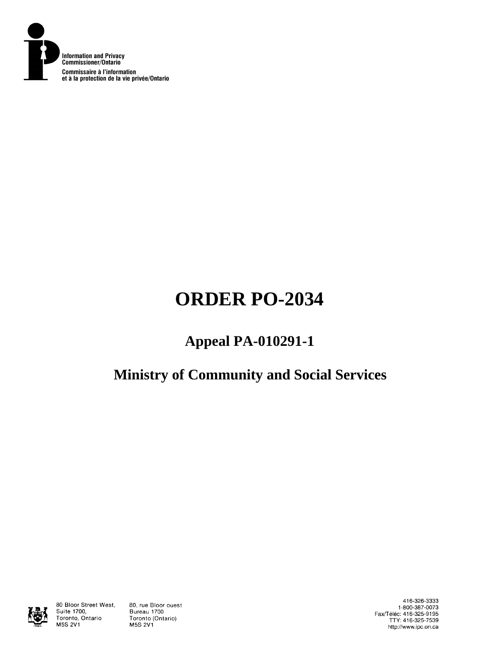

# **ORDER PO-2034**

# **Appeal PA-010291-1**

# **Ministry of Community and Social Services**



80 Bloor Street West, Suite 1700, Toronto, Ontario **M5S 2V1** 

80, rue Bloor ouest Bureau 1700 Toronto (Ontario) **M5S 2V1** 

416-326-3333 1-800-387-0073 Fax/Téléc: 416-325-9195<br>TTY: 416-325-7539 http://www.ipc.on.ca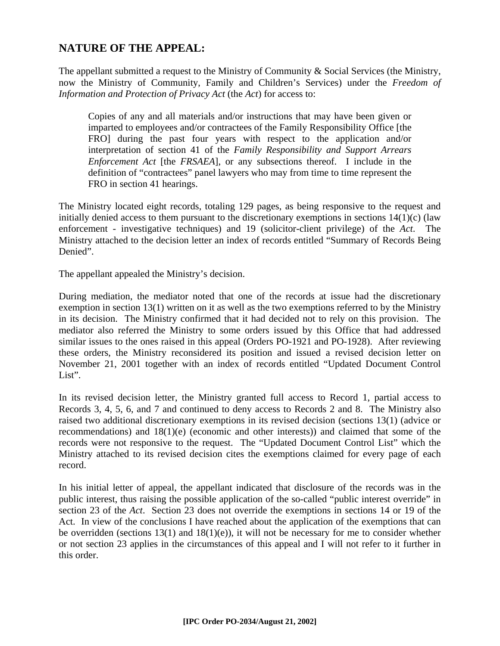## **NATURE OF THE APPEAL:**

The appellant submitted a request to the Ministry of Community & Social Services (the Ministry, now the Ministry of Community, Family and Children's Services) under the *Freedom of Information and Protection of Privacy Act* (the *Act*) for access to:

Copies of any and all materials and/or instructions that may have been given or imparted to employees and/or contractees of the Family Responsibility Office [the FRO] during the past four years with respect to the application and/or interpretation of section 41 of the *Family Responsibility and Support Arrears Enforcement Act* [the *FRSAEA*], or any subsections thereof. I include in the definition of "contractees" panel lawyers who may from time to time represent the FRO in section 41 hearings.

The Ministry located eight records, totaling 129 pages, as being responsive to the request and initially denied access to them pursuant to the discretionary exemptions in sections  $14(1)(c)$  (law enforcement - investigative techniques) and 19 (solicitor-client privilege) of the *Act*. The Ministry attached to the decision letter an index of records entitled "Summary of Records Being Denied".

The appellant appealed the Ministry's decision.

During mediation, the mediator noted that one of the records at issue had the discretionary exemption in section 13(1) written on it as well as the two exemptions referred to by the Ministry in its decision. The Ministry confirmed that it had decided not to rely on this provision. The mediator also referred the Ministry to some orders issued by this Office that had addressed similar issues to the ones raised in this appeal (Orders PO-1921 and PO-1928). After reviewing these orders, the Ministry reconsidered its position and issued a revised decision letter on November 21, 2001 together with an index of records entitled "Updated Document Control List".

In its revised decision letter, the Ministry granted full access to Record 1, partial access to Records 3, 4, 5, 6, and 7 and continued to deny access to Records 2 and 8. The Ministry also raised two additional discretionary exemptions in its revised decision (sections 13(1) (advice or recommendations) and 18(1)(e) (economic and other interests)) and claimed that some of the records were not responsive to the request. The "Updated Document Control List" which the Ministry attached to its revised decision cites the exemptions claimed for every page of each record.

In his initial letter of appeal, the appellant indicated that disclosure of the records was in the public interest, thus raising the possible application of the so-called "public interest override" in section 23 of the *Act*. Section 23 does not override the exemptions in sections 14 or 19 of the Act. In view of the conclusions I have reached about the application of the exemptions that can be overridden (sections  $13(1)$  and  $18(1)(e)$ ), it will not be necessary for me to consider whether or not section 23 applies in the circumstances of this appeal and I will not refer to it further in this order.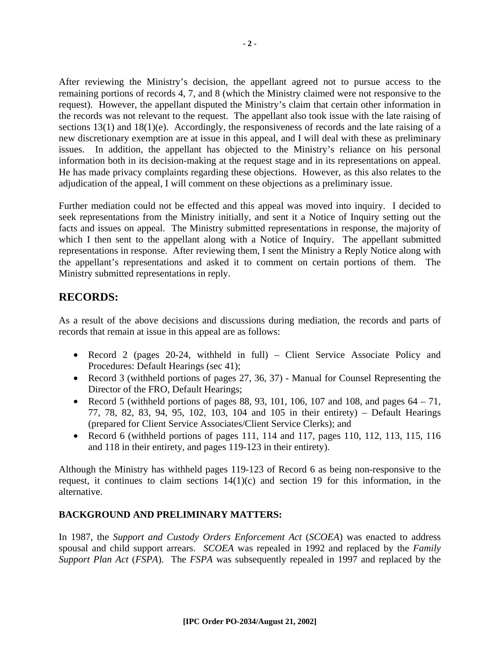After reviewing the Ministry's decision, the appellant agreed not to pursue access to the remaining portions of records 4, 7, and 8 (which the Ministry claimed were not responsive to the request). However, the appellant disputed the Ministry's claim that certain other information in the records was not relevant to the request. The appellant also took issue with the late raising of sections 13(1) and 18(1)(e). Accordingly, the responsiveness of records and the late raising of a new discretionary exemption are at issue in this appeal, and I will deal with these as preliminary issues. In addition, the appellant has objected to the Ministry's reliance on his personal information both in its decision-making at the request stage and in its representations on appeal. He has made privacy complaints regarding these objections. However, as this also relates to the adjudication of the appeal, I will comment on these objections as a preliminary issue.

Further mediation could not be effected and this appeal was moved into inquiry. I decided to seek representations from the Ministry initially, and sent it a Notice of Inquiry setting out the facts and issues on appeal. The Ministry submitted representations in response, the majority of which I then sent to the appellant along with a Notice of Inquiry. The appellant submitted representations in response. After reviewing them, I sent the Ministry a Reply Notice along with the appellant's representations and asked it to comment on certain portions of them. The Ministry submitted representations in reply.

### **RECORDS:**

As a result of the above decisions and discussions during mediation, the records and parts of records that remain at issue in this appeal are as follows:

- Record 2 (pages 20-24, withheld in full) Client Service Associate Policy and Procedures: Default Hearings (sec 41);
- Record 3 (withheld portions of pages 27, 36, 37) Manual for Counsel Representing the Director of the FRO, Default Hearings;
- Record 5 (withheld portions of pages 88, 93, 101, 106, 107 and 108, and pages  $64 71$ , 77, 78, 82, 83, 94, 95, 102, 103, 104 and 105 in their entirety) – Default Hearings (prepared for Client Service Associates/Client Service Clerks); and
- Record 6 (withheld portions of pages 111, 114 and 117, pages 110, 112, 113, 115, 116 and 118 in their entirety, and pages 119-123 in their entirety).

Although the Ministry has withheld pages 119-123 of Record 6 as being non-responsive to the request, it continues to claim sections  $14(1)(c)$  and section 19 for this information, in the alternative.

#### **BACKGROUND AND PRELIMINARY MATTERS:**

In 1987, the *Support and Custody Orders Enforcement Act* (*SCOEA*) was enacted to address spousal and child support arrears. *SCOEA* was repealed in 1992 and replaced by the *Family Support Plan Act* (*FSPA*). The *FSPA* was subsequently repealed in 1997 and replaced by the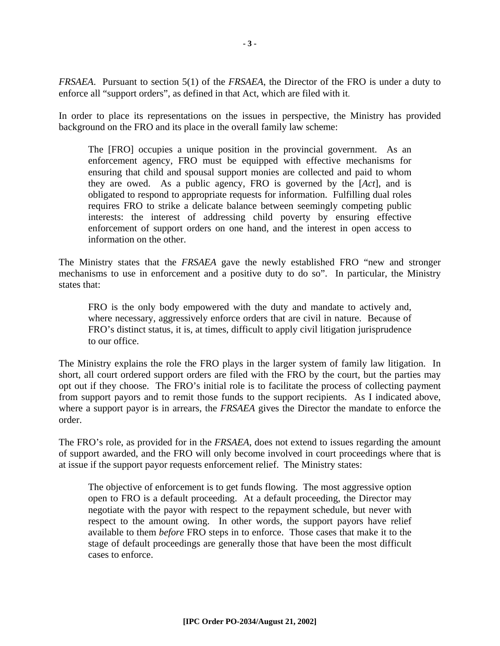*FRSAEA*. Pursuant to section 5(1) of the *FRSAEA*, the Director of the FRO is under a duty to enforce all "support orders", as defined in that Act, which are filed with it.

In order to place its representations on the issues in perspective, the Ministry has provided background on the FRO and its place in the overall family law scheme:

The [FRO] occupies a unique position in the provincial government. As an enforcement agency, FRO must be equipped with effective mechanisms for ensuring that child and spousal support monies are collected and paid to whom they are owed. As a public agency, FRO is governed by the [*Act*], and is obligated to respond to appropriate requests for information. Fulfilling dual roles requires FRO to strike a delicate balance between seemingly competing public interests: the interest of addressing child poverty by ensuring effective enforcement of support orders on one hand, and the interest in open access to information on the other.

The Ministry states that the *FRSAEA* gave the newly established FRO "new and stronger mechanisms to use in enforcement and a positive duty to do so". In particular, the Ministry states that:

FRO is the only body empowered with the duty and mandate to actively and, where necessary, aggressively enforce orders that are civil in nature. Because of FRO's distinct status, it is, at times, difficult to apply civil litigation jurisprudence to our office.

The Ministry explains the role the FRO plays in the larger system of family law litigation. In short, all court ordered support orders are filed with the FRO by the court, but the parties may opt out if they choose. The FRO's initial role is to facilitate the process of collecting payment from support payors and to remit those funds to the support recipients. As I indicated above, where a support payor is in arrears, the *FRSAEA* gives the Director the mandate to enforce the order.

The FRO's role, as provided for in the *FRSAEA*, does not extend to issues regarding the amount of support awarded, and the FRO will only become involved in court proceedings where that is at issue if the support payor requests enforcement relief. The Ministry states:

The objective of enforcement is to get funds flowing. The most aggressive option open to FRO is a default proceeding. At a default proceeding, the Director may negotiate with the payor with respect to the repayment schedule, but never with respect to the amount owing. In other words, the support payors have relief available to them *before* FRO steps in to enforce. Those cases that make it to the stage of default proceedings are generally those that have been the most difficult cases to enforce.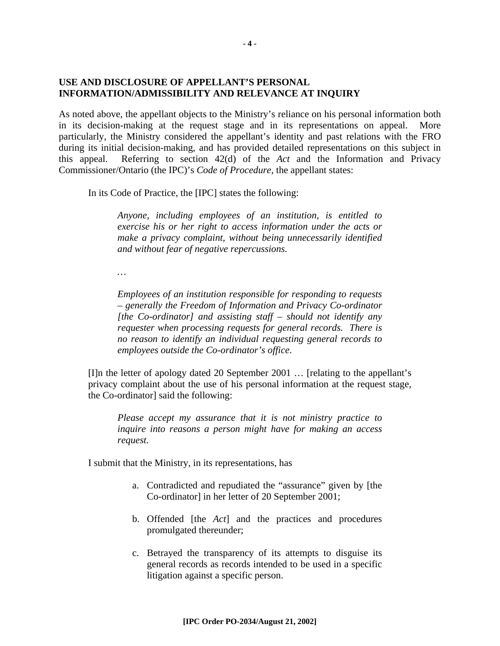#### **USE AND DISCLOSURE OF APPELLANT'S PERSONAL INFORMATION/ADMISSIBILITY AND RELEVANCE AT INQUIRY**

As noted above, the appellant objects to the Ministry's reliance on his personal information both in its decision-making at the request stage and in its representations on appeal. More particularly, the Ministry considered the appellant's identity and past relations with the FRO during its initial decision-making, and has provided detailed representations on this subject in this appeal. Referring to section 42(d) of the *Act* and the Information and Privacy Commissioner/Ontario (the IPC)'s *Code of Procedure*, the appellant states:

In its Code of Practice, the [IPC] states the following:

*Anyone, including employees of an institution, is entitled to exercise his or her right to access information under the acts or make a privacy complaint, without being unnecessarily identified and without fear of negative repercussions.* 

*…* 

*Employees of an institution responsible for responding to requests – generally the Freedom of Information and Privacy Co-ordinator [the Co-ordinator] and assisting staff – should not identify any requester when processing requests for general records. There is no reason to identify an individual requesting general records to employees outside the Co-ordinator's office*.

[I]n the letter of apology dated 20 September 2001 … [relating to the appellant's privacy complaint about the use of his personal information at the request stage, the Co-ordinator] said the following:

*Please accept my assurance that it is not ministry practice to inquire into reasons a person might have for making an access request.*

I submit that the Ministry, in its representations, has

- a. Contradicted and repudiated the "assurance" given by [the Co-ordinator] in her letter of 20 September 2001;
- b. Offended [the *Act*] and the practices and procedures promulgated thereunder;
- c. Betrayed the transparency of its attempts to disguise its general records as records intended to be used in a specific litigation against a specific person.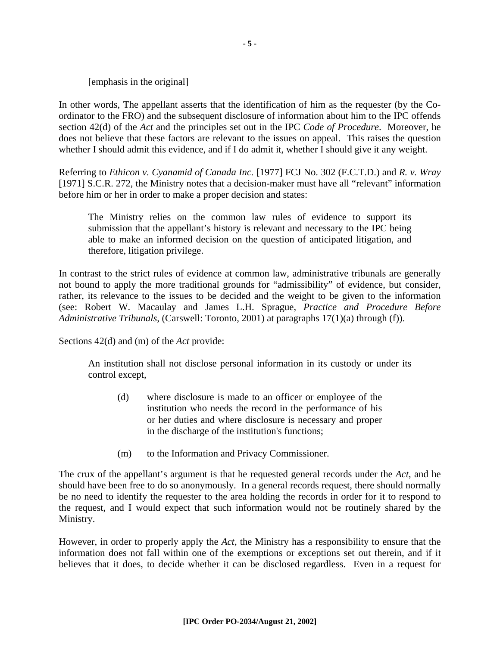[emphasis in the original]

In other words, The appellant asserts that the identification of him as the requester (by the Coordinator to the FRO) and the subsequent disclosure of information about him to the IPC offends section 42(d) of the *Act* and the principles set out in the IPC *Code of Procedure*. Moreover, he does not believe that these factors are relevant to the issues on appeal. This raises the question whether I should admit this evidence, and if I do admit it, whether I should give it any weight.

Referring to *Ethicon v. Cyanamid of Canada Inc.* [1977] FCJ No. 302 (F.C.T.D.) and *R. v. Wray* [1971] S.C.R. 272, the Ministry notes that a decision-maker must have all "relevant" information before him or her in order to make a proper decision and states:

The Ministry relies on the common law rules of evidence to support its submission that the appellant's history is relevant and necessary to the IPC being able to make an informed decision on the question of anticipated litigation, and therefore, litigation privilege.

In contrast to the strict rules of evidence at common law, administrative tribunals are generally not bound to apply the more traditional grounds for "admissibility" of evidence, but consider, rather, its relevance to the issues to be decided and the weight to be given to the information (see: Robert W. Macaulay and James L.H. Sprague, *Practice and Procedure Before Administrative Tribunals*, (Carswell: Toronto, 2001) at paragraphs 17(1)(a) through (f)).

Sections 42(d) and (m) of the *Act* provide:

An institution shall not disclose personal information in its custody or under its control except,

- (d) where disclosure is made to an officer or employee of the institution who needs the record in the performance of his or her duties and where disclosure is necessary and proper in the discharge of the institution's functions;
- (m) to the Information and Privacy Commissioner.

The crux of the appellant's argument is that he requested general records under the *Act*, and he should have been free to do so anonymously. In a general records request, there should normally be no need to identify the requester to the area holding the records in order for it to respond to the request, and I would expect that such information would not be routinely shared by the Ministry.

However, in order to properly apply the *Act,* the Ministry has a responsibility to ensure that the information does not fall within one of the exemptions or exceptions set out therein, and if it believes that it does, to decide whether it can be disclosed regardless. Even in a request for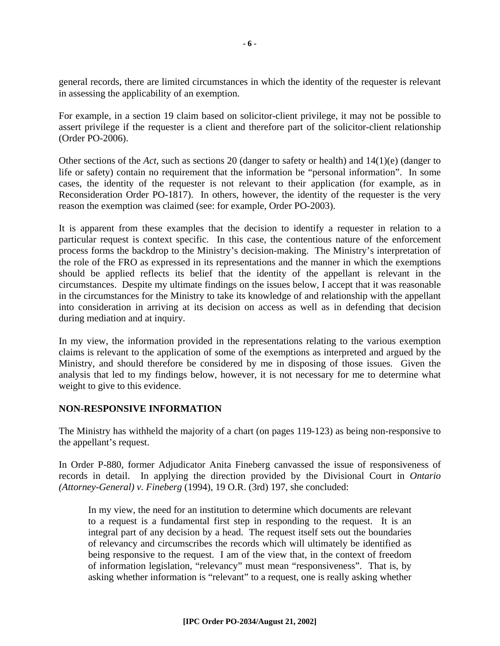general records, there are limited circumstances in which the identity of the requester is relevant in assessing the applicability of an exemption.

For example, in a section 19 claim based on solicitor-client privilege, it may not be possible to assert privilege if the requester is a client and therefore part of the solicitor-client relationship (Order PO-2006).

Other sections of the *Act*, such as sections 20 (danger to safety or health) and 14(1)(e) (danger to life or safety) contain no requirement that the information be "personal information". In some cases, the identity of the requester is not relevant to their application (for example, as in Reconsideration Order PO-1817). In others, however, the identity of the requester is the very reason the exemption was claimed (see: for example, Order PO-2003).

It is apparent from these examples that the decision to identify a requester in relation to a particular request is context specific. In this case, the contentious nature of the enforcement process forms the backdrop to the Ministry's decision-making. The Ministry's interpretation of the role of the FRO as expressed in its representations and the manner in which the exemptions should be applied reflects its belief that the identity of the appellant is relevant in the circumstances. Despite my ultimate findings on the issues below, I accept that it was reasonable in the circumstances for the Ministry to take its knowledge of and relationship with the appellant into consideration in arriving at its decision on access as well as in defending that decision during mediation and at inquiry.

In my view, the information provided in the representations relating to the various exemption claims is relevant to the application of some of the exemptions as interpreted and argued by the Ministry, and should therefore be considered by me in disposing of those issues. Given the analysis that led to my findings below, however, it is not necessary for me to determine what weight to give to this evidence.

#### **NON-RESPONSIVE INFORMATION**

The Ministry has withheld the majority of a chart (on pages 119-123) as being non-responsive to the appellant's request.

In Order P-880, former Adjudicator Anita Fineberg canvassed the issue of responsiveness of records in detail. In applying the direction provided by the Divisional Court in *Ontario (Attorney-General) v. Fineberg* (1994), 19 O.R. (3rd) 197, she concluded:

In my view, the need for an institution to determine which documents are relevant to a request is a fundamental first step in responding to the request. It is an integral part of any decision by a head. The request itself sets out the boundaries of relevancy and circumscribes the records which will ultimately be identified as being responsive to the request. I am of the view that, in the context of freedom of information legislation, "relevancy" must mean "responsiveness". That is, by asking whether information is "relevant" to a request, one is really asking whether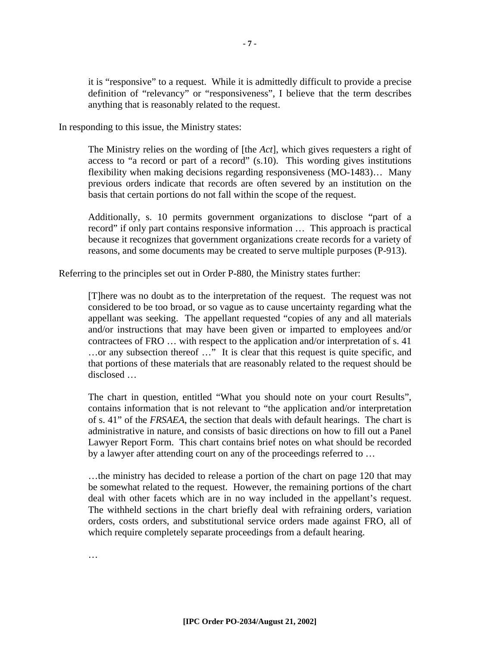it is "responsive" to a request. While it is admittedly difficult to provide a precise definition of "relevancy" or "responsiveness", I believe that the term describes anything that is reasonably related to the request.

In responding to this issue, the Ministry states:

The Ministry relies on the wording of [the *Act*], which gives requesters a right of access to "a record or part of a record" (s.10). This wording gives institutions flexibility when making decisions regarding responsiveness (MO-1483)… Many previous orders indicate that records are often severed by an institution on the basis that certain portions do not fall within the scope of the request.

Additionally, s. 10 permits government organizations to disclose "part of a record" if only part contains responsive information … This approach is practical because it recognizes that government organizations create records for a variety of reasons, and some documents may be created to serve multiple purposes (P-913).

Referring to the principles set out in Order P-880, the Ministry states further:

[T]here was no doubt as to the interpretation of the request. The request was not considered to be too broad, or so vague as to cause uncertainty regarding what the appellant was seeking. The appellant requested "copies of any and all materials and/or instructions that may have been given or imparted to employees and/or contractees of FRO … with respect to the application and/or interpretation of s. 41 …or any subsection thereof …" It is clear that this request is quite specific, and that portions of these materials that are reasonably related to the request should be disclosed …

The chart in question, entitled "What you should note on your court Results", contains information that is not relevant to "the application and/or interpretation of s. 41" of the *FRSAEA*, the section that deals with default hearings. The chart is administrative in nature, and consists of basic directions on how to fill out a Panel Lawyer Report Form. This chart contains brief notes on what should be recorded by a lawyer after attending court on any of the proceedings referred to …

…the ministry has decided to release a portion of the chart on page 120 that may be somewhat related to the request. However, the remaining portions of the chart deal with other facets which are in no way included in the appellant's request. The withheld sections in the chart briefly deal with refraining orders, variation orders, costs orders, and substitutional service orders made against FRO, all of which require completely separate proceedings from a default hearing.

…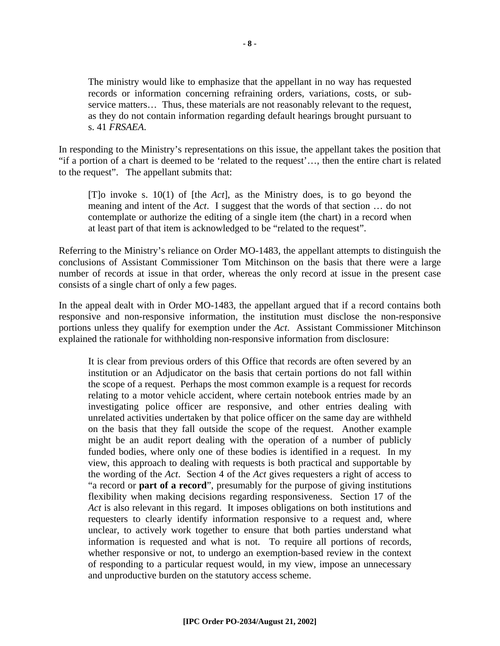The ministry would like to emphasize that the appellant in no way has requested records or information concerning refraining orders, variations, costs, or subservice matters… Thus, these materials are not reasonably relevant to the request, as they do not contain information regarding default hearings brought pursuant to s. 41 *FRSAEA*.

In responding to the Ministry's representations on this issue, the appellant takes the position that "if a portion of a chart is deemed to be 'related to the request'…, then the entire chart is related to the request". The appellant submits that:

[T]o invoke s. 10(1) of [the *Act*], as the Ministry does, is to go beyond the meaning and intent of the *Act*. I suggest that the words of that section … do not contemplate or authorize the editing of a single item (the chart) in a record when at least part of that item is acknowledged to be "related to the request".

Referring to the Ministry's reliance on Order MO-1483, the appellant attempts to distinguish the conclusions of Assistant Commissioner Tom Mitchinson on the basis that there were a large number of records at issue in that order, whereas the only record at issue in the present case consists of a single chart of only a few pages.

In the appeal dealt with in Order MO-1483, the appellant argued that if a record contains both responsive and non-responsive information, the institution must disclose the non-responsive portions unless they qualify for exemption under the *Act*. Assistant Commissioner Mitchinson explained the rationale for withholding non-responsive information from disclosure:

It is clear from previous orders of this Office that records are often severed by an institution or an Adjudicator on the basis that certain portions do not fall within the scope of a request. Perhaps the most common example is a request for records relating to a motor vehicle accident, where certain notebook entries made by an investigating police officer are responsive, and other entries dealing with unrelated activities undertaken by that police officer on the same day are withheld on the basis that they fall outside the scope of the request. Another example might be an audit report dealing with the operation of a number of publicly funded bodies, where only one of these bodies is identified in a request. In my view, this approach to dealing with requests is both practical and supportable by the wording of the *Act*. Section 4 of the *Act* gives requesters a right of access to "a record or **part of a record**", presumably for the purpose of giving institutions flexibility when making decisions regarding responsiveness. Section 17 of the *Act* is also relevant in this regard. It imposes obligations on both institutions and requesters to clearly identify information responsive to a request and, where unclear, to actively work together to ensure that both parties understand what information is requested and what is not. To require all portions of records, whether responsive or not, to undergo an exemption-based review in the context of responding to a particular request would, in my view, impose an unnecessary and unproductive burden on the statutory access scheme.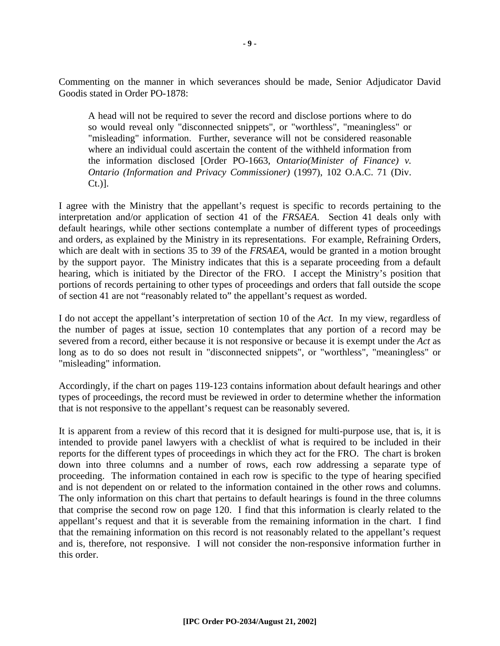Commenting on the manner in which severances should be made, Senior Adjudicator David Goodis stated in Order PO-1878:

A head will not be required to sever the record and disclose portions where to do so would reveal only "disconnected snippets", or "worthless", "meaningless" or "misleading" information. Further, severance will not be considered reasonable where an individual could ascertain the content of the withheld information from the information disclosed [Order PO-1663, *Ontario(Minister of Finance) v. Ontario (Information and Privacy Commissioner)* (1997), 102 O.A.C. 71 (Div. Ct.)].

I agree with the Ministry that the appellant's request is specific to records pertaining to the interpretation and/or application of section 41 of the *FRSAEA*. Section 41 deals only with default hearings, while other sections contemplate a number of different types of proceedings and orders, as explained by the Ministry in its representations. For example, Refraining Orders, which are dealt with in sections 35 to 39 of the *FRSAEA*, would be granted in a motion brought by the support payor. The Ministry indicates that this is a separate proceeding from a default hearing, which is initiated by the Director of the FRO. I accept the Ministry's position that portions of records pertaining to other types of proceedings and orders that fall outside the scope of section 41 are not "reasonably related to" the appellant's request as worded.

I do not accept the appellant's interpretation of section 10 of the *Act*. In my view, regardless of the number of pages at issue, section 10 contemplates that any portion of a record may be severed from a record, either because it is not responsive or because it is exempt under the *Act* as long as to do so does not result in "disconnected snippets", or "worthless", "meaningless" or "misleading" information.

Accordingly, if the chart on pages 119-123 contains information about default hearings and other types of proceedings, the record must be reviewed in order to determine whether the information that is not responsive to the appellant's request can be reasonably severed.

It is apparent from a review of this record that it is designed for multi-purpose use, that is, it is intended to provide panel lawyers with a checklist of what is required to be included in their reports for the different types of proceedings in which they act for the FRO. The chart is broken down into three columns and a number of rows, each row addressing a separate type of proceeding. The information contained in each row is specific to the type of hearing specified and is not dependent on or related to the information contained in the other rows and columns. The only information on this chart that pertains to default hearings is found in the three columns that comprise the second row on page 120. I find that this information is clearly related to the appellant's request and that it is severable from the remaining information in the chart. I find that the remaining information on this record is not reasonably related to the appellant's request and is, therefore, not responsive. I will not consider the non-responsive information further in this order.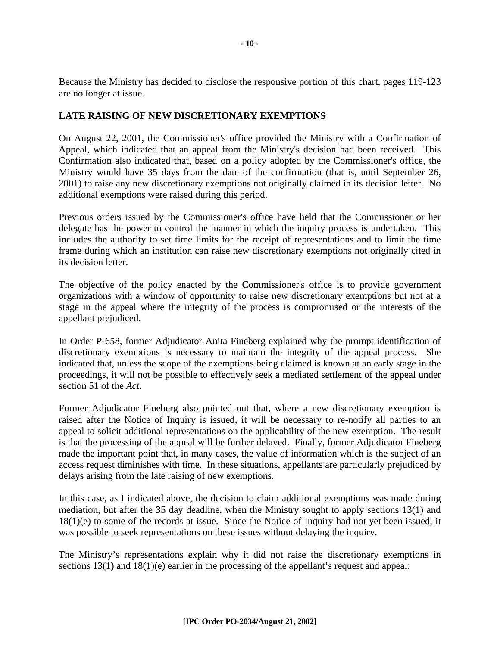Because the Ministry has decided to disclose the responsive portion of this chart, pages 119-123 are no longer at issue.

#### **LATE RAISING OF NEW DISCRETIONARY EXEMPTIONS**

On August 22, 2001, the Commissioner's office provided the Ministry with a Confirmation of Appeal, which indicated that an appeal from the Ministry's decision had been received. This Confirmation also indicated that, based on a policy adopted by the Commissioner's office, the Ministry would have 35 days from the date of the confirmation (that is, until September 26, 2001) to raise any new discretionary exemptions not originally claimed in its decision letter. No additional exemptions were raised during this period.

Previous orders issued by the Commissioner's office have held that the Commissioner or her delegate has the power to control the manner in which the inquiry process is undertaken. This includes the authority to set time limits for the receipt of representations and to limit the time frame during which an institution can raise new discretionary exemptions not originally cited in its decision letter.

The objective of the policy enacted by the Commissioner's office is to provide government organizations with a window of opportunity to raise new discretionary exemptions but not at a stage in the appeal where the integrity of the process is compromised or the interests of the appellant prejudiced.

In Order P-658, former Adjudicator Anita Fineberg explained why the prompt identification of discretionary exemptions is necessary to maintain the integrity of the appeal process. She indicated that, unless the scope of the exemptions being claimed is known at an early stage in the proceedings, it will not be possible to effectively seek a mediated settlement of the appeal under section 51 of the *Act*.

Former Adjudicator Fineberg also pointed out that, where a new discretionary exemption is raised after the Notice of Inquiry is issued, it will be necessary to re-notify all parties to an appeal to solicit additional representations on the applicability of the new exemption. The result is that the processing of the appeal will be further delayed. Finally, former Adjudicator Fineberg made the important point that, in many cases, the value of information which is the subject of an access request diminishes with time. In these situations, appellants are particularly prejudiced by delays arising from the late raising of new exemptions.

In this case, as I indicated above, the decision to claim additional exemptions was made during mediation, but after the 35 day deadline, when the Ministry sought to apply sections 13(1) and 18(1)(e) to some of the records at issue. Since the Notice of Inquiry had not yet been issued, it was possible to seek representations on these issues without delaying the inquiry.

The Ministry's representations explain why it did not raise the discretionary exemptions in sections 13(1) and 18(1)(e) earlier in the processing of the appellant's request and appeal: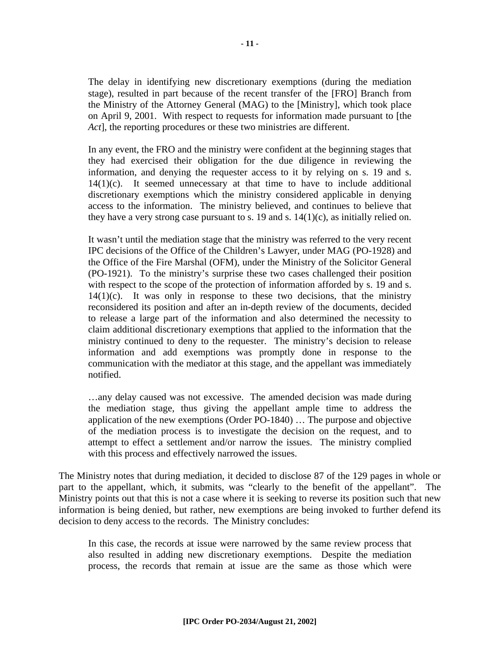The delay in identifying new discretionary exemptions (during the mediation stage), resulted in part because of the recent transfer of the [FRO] Branch from the Ministry of the Attorney General (MAG) to the [Ministry], which took place on April 9, 2001. With respect to requests for information made pursuant to [the *Act*], the reporting procedures or these two ministries are different.

In any event, the FRO and the ministry were confident at the beginning stages that they had exercised their obligation for the due diligence in reviewing the information, and denying the requester access to it by relying on s. 19 and s.  $14(1)(c)$ . It seemed unnecessary at that time to have to include additional discretionary exemptions which the ministry considered applicable in denying access to the information. The ministry believed, and continues to believe that they have a very strong case pursuant to s. 19 and s.  $14(1)(c)$ , as initially relied on.

It wasn't until the mediation stage that the ministry was referred to the very recent IPC decisions of the Office of the Children's Lawyer, under MAG (PO-1928) and the Office of the Fire Marshal (OFM), under the Ministry of the Solicitor General (PO-1921). To the ministry's surprise these two cases challenged their position with respect to the scope of the protection of information afforded by s. 19 and s.  $14(1)(c)$ . It was only in response to these two decisions, that the ministry reconsidered its position and after an in-depth review of the documents, decided to release a large part of the information and also determined the necessity to claim additional discretionary exemptions that applied to the information that the ministry continued to deny to the requester. The ministry's decision to release information and add exemptions was promptly done in response to the communication with the mediator at this stage, and the appellant was immediately notified.

…any delay caused was not excessive. The amended decision was made during the mediation stage, thus giving the appellant ample time to address the application of the new exemptions (Order PO-1840) … The purpose and objective of the mediation process is to investigate the decision on the request, and to attempt to effect a settlement and/or narrow the issues. The ministry complied with this process and effectively narrowed the issues.

The Ministry notes that during mediation, it decided to disclose 87 of the 129 pages in whole or part to the appellant, which, it submits, was "clearly to the benefit of the appellant". The Ministry points out that this is not a case where it is seeking to reverse its position such that new information is being denied, but rather, new exemptions are being invoked to further defend its decision to deny access to the records. The Ministry concludes:

In this case, the records at issue were narrowed by the same review process that also resulted in adding new discretionary exemptions. Despite the mediation process, the records that remain at issue are the same as those which were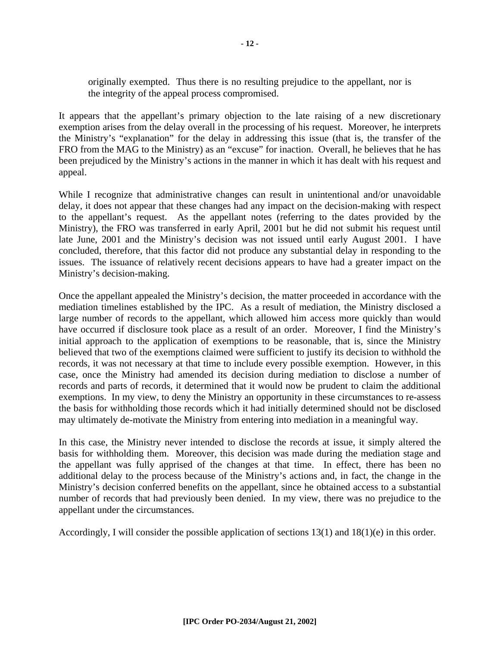originally exempted. Thus there is no resulting prejudice to the appellant, nor is the integrity of the appeal process compromised.

It appears that the appellant's primary objection to the late raising of a new discretionary exemption arises from the delay overall in the processing of his request. Moreover, he interprets the Ministry's "explanation" for the delay in addressing this issue (that is, the transfer of the FRO from the MAG to the Ministry) as an "excuse" for inaction. Overall, he believes that he has been prejudiced by the Ministry's actions in the manner in which it has dealt with his request and appeal.

While I recognize that administrative changes can result in unintentional and/or unavoidable delay, it does not appear that these changes had any impact on the decision-making with respect to the appellant's request. As the appellant notes (referring to the dates provided by the Ministry), the FRO was transferred in early April, 2001 but he did not submit his request until late June, 2001 and the Ministry's decision was not issued until early August 2001. I have concluded, therefore, that this factor did not produce any substantial delay in responding to the issues. The issuance of relatively recent decisions appears to have had a greater impact on the Ministry's decision-making.

Once the appellant appealed the Ministry's decision, the matter proceeded in accordance with the mediation timelines established by the IPC. As a result of mediation, the Ministry disclosed a large number of records to the appellant, which allowed him access more quickly than would have occurred if disclosure took place as a result of an order. Moreover, I find the Ministry's initial approach to the application of exemptions to be reasonable, that is, since the Ministry believed that two of the exemptions claimed were sufficient to justify its decision to withhold the records, it was not necessary at that time to include every possible exemption. However, in this case, once the Ministry had amended its decision during mediation to disclose a number of records and parts of records, it determined that it would now be prudent to claim the additional exemptions. In my view, to deny the Ministry an opportunity in these circumstances to re-assess the basis for withholding those records which it had initially determined should not be disclosed may ultimately de-motivate the Ministry from entering into mediation in a meaningful way.

In this case, the Ministry never intended to disclose the records at issue, it simply altered the basis for withholding them. Moreover, this decision was made during the mediation stage and the appellant was fully apprised of the changes at that time. In effect, there has been no additional delay to the process because of the Ministry's actions and, in fact, the change in the Ministry's decision conferred benefits on the appellant, since he obtained access to a substantial number of records that had previously been denied. In my view, there was no prejudice to the appellant under the circumstances.

Accordingly, I will consider the possible application of sections 13(1) and 18(1)(e) in this order.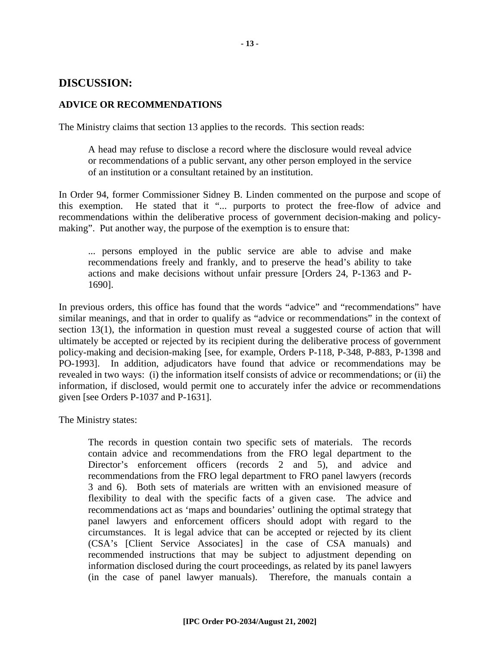#### **DISCUSSION:**

#### **ADVICE OR RECOMMENDATIONS**

The Ministry claims that section 13 applies to the records. This section reads:

A head may refuse to disclose a record where the disclosure would reveal advice or recommendations of a public servant, any other person employed in the service of an institution or a consultant retained by an institution.

In Order 94, former Commissioner Sidney B. Linden commented on the purpose and scope of this exemption. He stated that it "... purports to protect the free-flow of advice and recommendations within the deliberative process of government decision-making and policymaking". Put another way, the purpose of the exemption is to ensure that:

... persons employed in the public service are able to advise and make recommendations freely and frankly, and to preserve the head's ability to take actions and make decisions without unfair pressure [Orders 24, P-1363 and P-1690].

In previous orders, this office has found that the words "advice" and "recommendations" have similar meanings, and that in order to qualify as "advice or recommendations" in the context of section 13(1), the information in question must reveal a suggested course of action that will ultimately be accepted or rejected by its recipient during the deliberative process of government policy-making and decision-making [see, for example, Orders P-118, P-348, P-883, P-1398 and PO-1993]. In addition, adjudicators have found that advice or recommendations may be revealed in two ways: (i) the information itself consists of advice or recommendations; or (ii) the information, if disclosed, would permit one to accurately infer the advice or recommendations given [see Orders P-1037 and P-1631].

The Ministry states:

The records in question contain two specific sets of materials. The records contain advice and recommendations from the FRO legal department to the Director's enforcement officers (records 2 and 5), and advice and recommendations from the FRO legal department to FRO panel lawyers (records 3 and 6). Both sets of materials are written with an envisioned measure of flexibility to deal with the specific facts of a given case. The advice and recommendations act as 'maps and boundaries' outlining the optimal strategy that panel lawyers and enforcement officers should adopt with regard to the circumstances. It is legal advice that can be accepted or rejected by its client (CSA's [Client Service Associates] in the case of CSA manuals) and recommended instructions that may be subject to adjustment depending on information disclosed during the court proceedings, as related by its panel lawyers (in the case of panel lawyer manuals). Therefore, the manuals contain a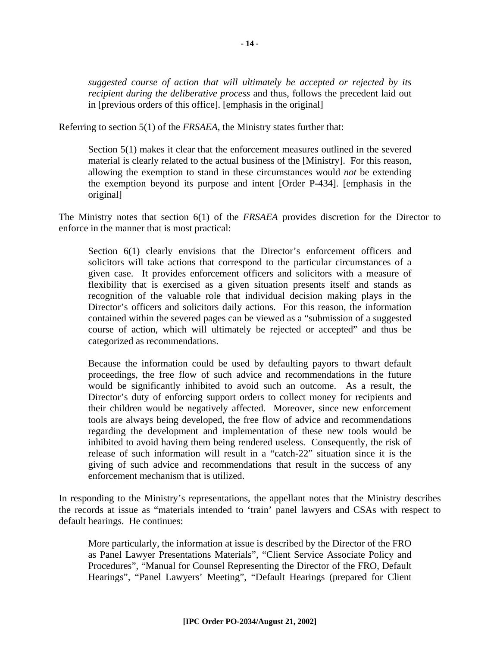*suggested course of action that will ultimately be accepted or rejected by its recipient during the deliberative process* and thus, follows the precedent laid out in [previous orders of this office]. [emphasis in the original]

Referring to section 5(1) of the *FRSAEA*, the Ministry states further that:

Section 5(1) makes it clear that the enforcement measures outlined in the severed material is clearly related to the actual business of the [Ministry]. For this reason, allowing the exemption to stand in these circumstances would *not* be extending the exemption beyond its purpose and intent [Order P-434]. [emphasis in the original]

The Ministry notes that section 6(1) of the *FRSAEA* provides discretion for the Director to enforce in the manner that is most practical:

Section 6(1) clearly envisions that the Director's enforcement officers and solicitors will take actions that correspond to the particular circumstances of a given case. It provides enforcement officers and solicitors with a measure of flexibility that is exercised as a given situation presents itself and stands as recognition of the valuable role that individual decision making plays in the Director's officers and solicitors daily actions. For this reason, the information contained within the severed pages can be viewed as a "submission of a suggested course of action, which will ultimately be rejected or accepted" and thus be categorized as recommendations.

Because the information could be used by defaulting payors to thwart default proceedings, the free flow of such advice and recommendations in the future would be significantly inhibited to avoid such an outcome. As a result, the Director's duty of enforcing support orders to collect money for recipients and their children would be negatively affected. Moreover, since new enforcement tools are always being developed, the free flow of advice and recommendations regarding the development and implementation of these new tools would be inhibited to avoid having them being rendered useless. Consequently, the risk of release of such information will result in a "catch-22" situation since it is the giving of such advice and recommendations that result in the success of any enforcement mechanism that is utilized.

In responding to the Ministry's representations, the appellant notes that the Ministry describes the records at issue as "materials intended to 'train' panel lawyers and CSAs with respect to default hearings. He continues:

More particularly, the information at issue is described by the Director of the FRO as Panel Lawyer Presentations Materials", "Client Service Associate Policy and Procedures", "Manual for Counsel Representing the Director of the FRO, Default Hearings", "Panel Lawyers' Meeting", "Default Hearings (prepared for Client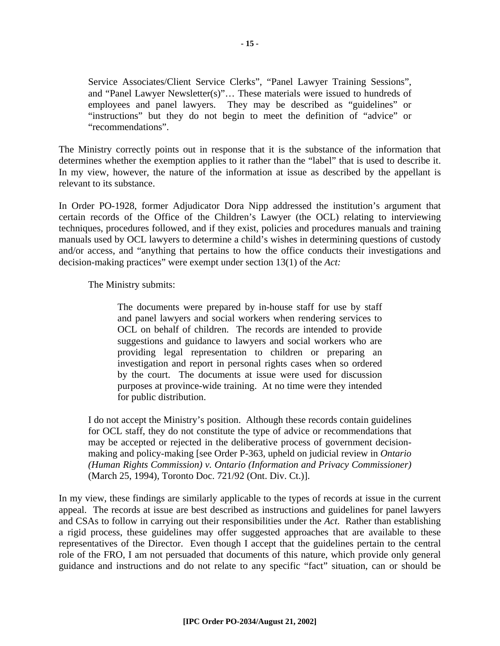Service Associates/Client Service Clerks", "Panel Lawyer Training Sessions", and "Panel Lawyer Newsletter(s)"… These materials were issued to hundreds of employees and panel lawyers. They may be described as "guidelines" or "instructions" but they do not begin to meet the definition of "advice" or "recommendations".

The Ministry correctly points out in response that it is the substance of the information that determines whether the exemption applies to it rather than the "label" that is used to describe it. In my view, however, the nature of the information at issue as described by the appellant is relevant to its substance.

In Order PO-1928, former Adjudicator Dora Nipp addressed the institution's argument that certain records of the Office of the Children's Lawyer (the OCL) relating to interviewing techniques, procedures followed, and if they exist, policies and procedures manuals and training manuals used by OCL lawyers to determine a child's wishes in determining questions of custody and/or access, and "anything that pertains to how the office conducts their investigations and decision-making practices" were exempt under section 13(1) of the *Act:*

The Ministry submits:

The documents were prepared by in-house staff for use by staff and panel lawyers and social workers when rendering services to OCL on behalf of children. The records are intended to provide suggestions and guidance to lawyers and social workers who are providing legal representation to children or preparing an investigation and report in personal rights cases when so ordered by the court. The documents at issue were used for discussion purposes at province-wide training. At no time were they intended for public distribution.

I do not accept the Ministry's position. Although these records contain guidelines for OCL staff, they do not constitute the type of advice or recommendations that may be accepted or rejected in the deliberative process of government decisionmaking and policy-making [see Order P-363, upheld on judicial review in *Ontario (Human Rights Commission) v. Ontario (Information and Privacy Commissioner)* (March 25, 1994), Toronto Doc. 721/92 (Ont. Div. Ct.)].

In my view, these findings are similarly applicable to the types of records at issue in the current appeal. The records at issue are best described as instructions and guidelines for panel lawyers and CSAs to follow in carrying out their responsibilities under the *Act*. Rather than establishing a rigid process, these guidelines may offer suggested approaches that are available to these representatives of the Director. Even though I accept that the guidelines pertain to the central role of the FRO, I am not persuaded that documents of this nature, which provide only general guidance and instructions and do not relate to any specific "fact" situation, can or should be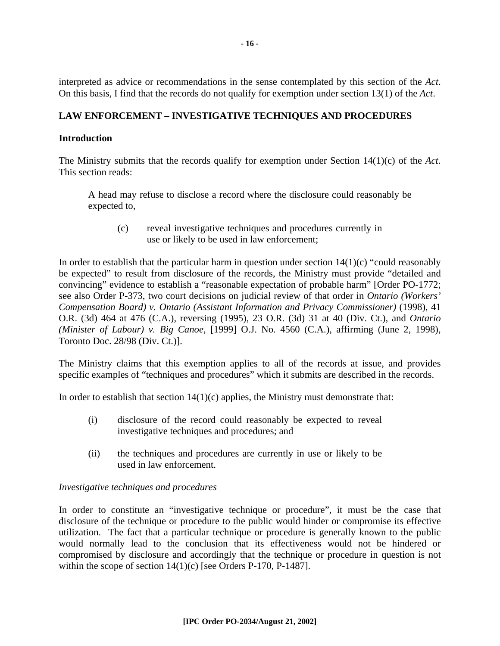interpreted as advice or recommendations in the sense contemplated by this section of the *Act*. On this basis, I find that the records do not qualify for exemption under section 13(1) of the *Act*.

#### **LAW ENFORCEMENT – INVESTIGATIVE TECHNIQUES AND PROCEDURES**

#### **Introduction**

The Ministry submits that the records qualify for exemption under Section 14(1)(c) of the *Act*. This section reads:

A head may refuse to disclose a record where the disclosure could reasonably be expected to,

(c) reveal investigative techniques and procedures currently in use or likely to be used in law enforcement;

In order to establish that the particular harm in question under section  $14(1)(c)$  "could reasonably be expected" to result from disclosure of the records, the Ministry must provide "detailed and convincing" evidence to establish a "reasonable expectation of probable harm" [Order PO-1772; see also Order P-373, two court decisions on judicial review of that order in *Ontario (Workers' Compensation Board) v. Ontario (Assistant Information and Privacy Commissioner) (1998), 41* O.R. (3d) 464 at 476 (C.A.), reversing (1995), 23 O.R. (3d) 31 at 40 (Div. Ct.), and *Ontario (Minister of Labour) v. Big Canoe*, [1999] O.J. No. 4560 (C.A.), affirming (June 2, 1998), Toronto Doc. 28/98 (Div. Ct.)].

The Ministry claims that this exemption applies to all of the records at issue, and provides specific examples of "techniques and procedures" which it submits are described in the records.

In order to establish that section  $14(1)(c)$  applies, the Ministry must demonstrate that:

- (i) disclosure of the record could reasonably be expected to reveal investigative techniques and procedures; and
- (ii) the techniques and procedures are currently in use or likely to be used in law enforcement.

#### *Investigative techniques and procedures*

In order to constitute an "investigative technique or procedure", it must be the case that disclosure of the technique or procedure to the public would hinder or compromise its effective utilization. The fact that a particular technique or procedure is generally known to the public would normally lead to the conclusion that its effectiveness would not be hindered or compromised by disclosure and accordingly that the technique or procedure in question is not within the scope of section 14(1)(c) [see Orders P-170, P-1487].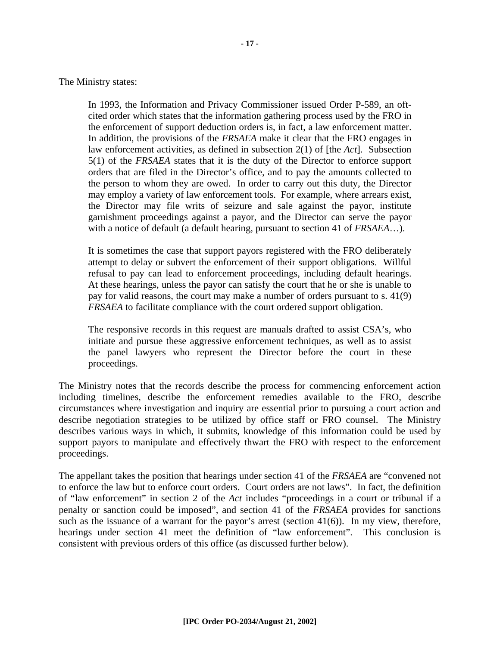The Ministry states:

In 1993, the Information and Privacy Commissioner issued Order P-589, an oftcited order which states that the information gathering process used by the FRO in the enforcement of support deduction orders is, in fact, a law enforcement matter. In addition, the provisions of the *FRSAEA* make it clear that the FRO engages in law enforcement activities, as defined in subsection 2(1) of [the *Act*]. Subsection 5(1) of the *FRSAEA* states that it is the duty of the Director to enforce support orders that are filed in the Director's office, and to pay the amounts collected to the person to whom they are owed. In order to carry out this duty, the Director may employ a variety of law enforcement tools. For example, where arrears exist, the Director may file writs of seizure and sale against the payor, institute garnishment proceedings against a payor, and the Director can serve the payor with a notice of default (a default hearing, pursuant to section 41 of *FRSAEA*…).

It is sometimes the case that support payors registered with the FRO deliberately attempt to delay or subvert the enforcement of their support obligations. Willful refusal to pay can lead to enforcement proceedings, including default hearings. At these hearings, unless the payor can satisfy the court that he or she is unable to pay for valid reasons, the court may make a number of orders pursuant to s. 41(9) *FRSAEA* to facilitate compliance with the court ordered support obligation.

The responsive records in this request are manuals drafted to assist CSA's, who initiate and pursue these aggressive enforcement techniques, as well as to assist the panel lawyers who represent the Director before the court in these proceedings.

The Ministry notes that the records describe the process for commencing enforcement action including timelines, describe the enforcement remedies available to the FRO, describe circumstances where investigation and inquiry are essential prior to pursuing a court action and describe negotiation strategies to be utilized by office staff or FRO counsel. The Ministry describes various ways in which, it submits, knowledge of this information could be used by support payors to manipulate and effectively thwart the FRO with respect to the enforcement proceedings.

The appellant takes the position that hearings under section 41 of the *FRSAEA* are "convened not to enforce the law but to enforce court orders. Court orders are not laws". In fact, the definition of "law enforcement" in section 2 of the *Act* includes "proceedings in a court or tribunal if a penalty or sanction could be imposed", and section 41 of the *FRSAEA* provides for sanctions such as the issuance of a warrant for the payor's arrest (section  $41(6)$ ). In my view, therefore, hearings under section 41 meet the definition of "law enforcement". This conclusion is consistent with previous orders of this office (as discussed further below).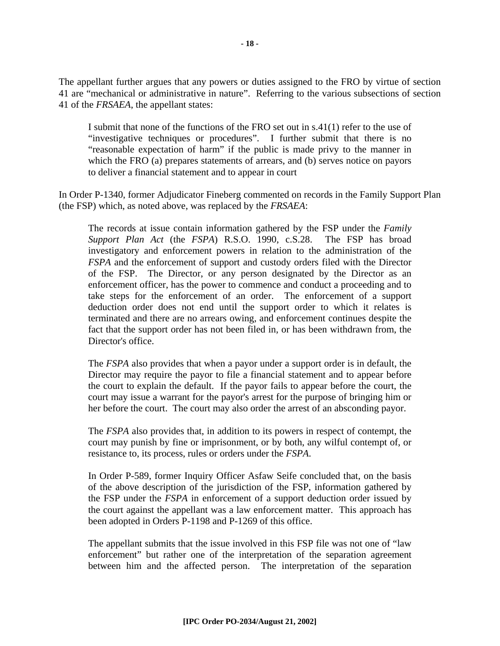The appellant further argues that any powers or duties assigned to the FRO by virtue of section 41 are "mechanical or administrative in nature". Referring to the various subsections of section 41 of the *FRSAEA*, the appellant states:

I submit that none of the functions of the FRO set out in s.41(1) refer to the use of "investigative techniques or procedures". I further submit that there is no "reasonable expectation of harm" if the public is made privy to the manner in which the FRO (a) prepares statements of arrears, and (b) serves notice on payors to deliver a financial statement and to appear in court

In Order P-1340, former Adjudicator Fineberg commented on records in the Family Support Plan (the FSP) which, as noted above, was replaced by the *FRSAEA*:

The records at issue contain information gathered by the FSP under the *Family Support Plan Act* (the *FSPA*) R.S.O. 1990, c.S.28. The FSP has broad investigatory and enforcement powers in relation to the administration of the *FSPA* and the enforcement of support and custody orders filed with the Director of the FSP. The Director, or any person designated by the Director as an enforcement officer, has the power to commence and conduct a proceeding and to take steps for the enforcement of an order. The enforcement of a support deduction order does not end until the support order to which it relates is terminated and there are no arrears owing, and enforcement continues despite the fact that the support order has not been filed in, or has been withdrawn from, the Director's office.

The *FSPA* also provides that when a payor under a support order is in default, the Director may require the payor to file a financial statement and to appear before the court to explain the default. If the payor fails to appear before the court, the court may issue a warrant for the payor's arrest for the purpose of bringing him or her before the court. The court may also order the arrest of an absconding payor.

The *FSPA* also provides that, in addition to its powers in respect of contempt, the court may punish by fine or imprisonment, or by both, any wilful contempt of, or resistance to, its process, rules or orders under the *FSPA*.

In Order P-589, former Inquiry Officer Asfaw Seife concluded that, on the basis of the above description of the jurisdiction of the FSP, information gathered by the FSP under the *FSPA* in enforcement of a support deduction order issued by the court against the appellant was a law enforcement matter. This approach has been adopted in Orders P-1198 and P-1269 of this office.

The appellant submits that the issue involved in this FSP file was not one of "law enforcement" but rather one of the interpretation of the separation agreement between him and the affected person. The interpretation of the separation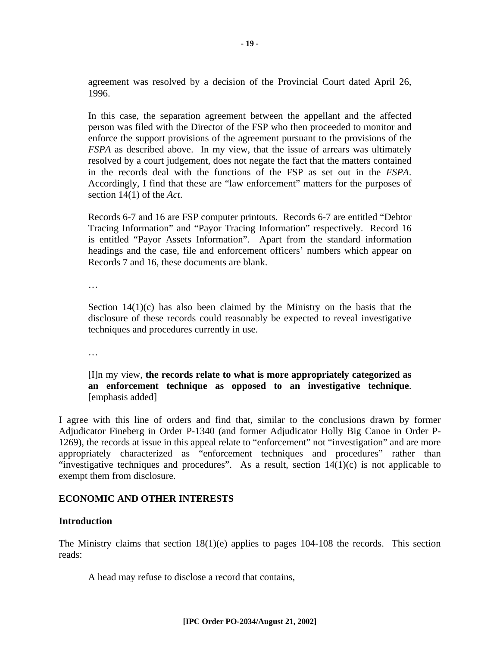agreement was resolved by a decision of the Provincial Court dated April 26, 1996.

In this case, the separation agreement between the appellant and the affected person was filed with the Director of the FSP who then proceeded to monitor and enforce the support provisions of the agreement pursuant to the provisions of the *FSPA* as described above. In my view, that the issue of arrears was ultimately resolved by a court judgement, does not negate the fact that the matters contained in the records deal with the functions of the FSP as set out in the *FSPA*. Accordingly, I find that these are "law enforcement" matters for the purposes of section 14(1) of the *Act*.

Records 6-7 and 16 are FSP computer printouts. Records 6-7 are entitled "Debtor Tracing Information" and "Payor Tracing Information" respectively. Record 16 is entitled "Payor Assets Information". Apart from the standard information headings and the case, file and enforcement officers' numbers which appear on Records 7 and 16, these documents are blank.

…

Section  $14(1)(c)$  has also been claimed by the Ministry on the basis that the disclosure of these records could reasonably be expected to reveal investigative techniques and procedures currently in use.

…

#### [I]n my view, **the records relate to what is more appropriately categorized as an enforcement technique as opposed to an investigative technique**. [emphasis added]

I agree with this line of orders and find that, similar to the conclusions drawn by former Adjudicator Fineberg in Order P-1340 (and former Adjudicator Holly Big Canoe in Order P-1269), the records at issue in this appeal relate to "enforcement" not "investigation" and are more appropriately characterized as "enforcement techniques and procedures" rather than "investigative techniques and procedures". As a result, section  $14(1)(c)$  is not applicable to exempt them from disclosure.

#### **ECONOMIC AND OTHER INTERESTS**

#### **Introduction**

The Ministry claims that section 18(1)(e) applies to pages 104-108 the records. This section reads:

A head may refuse to disclose a record that contains,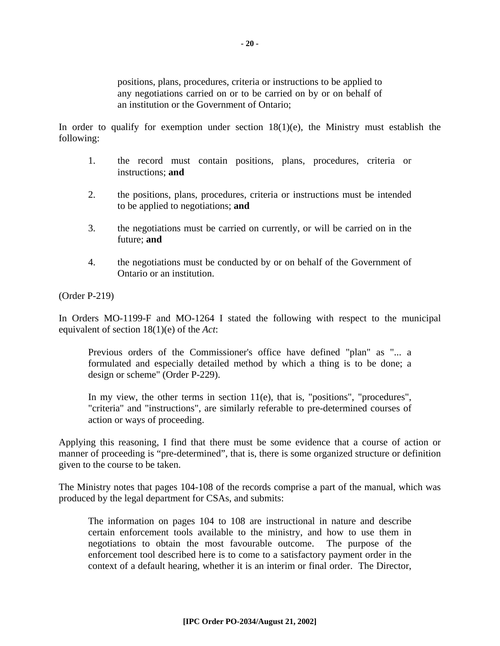positions, plans, procedures, criteria or instructions to be applied to any negotiations carried on or to be carried on by or on behalf of an institution or the Government of Ontario;

In order to qualify for exemption under section  $18(1)(e)$ , the Ministry must establish the following:

- 1. the record must contain positions, plans, procedures, criteria or instructions; **and**
- 2. the positions, plans, procedures, criteria or instructions must be intended to be applied to negotiations; **and**
- 3. the negotiations must be carried on currently, or will be carried on in the future; **and**
- 4. the negotiations must be conducted by or on behalf of the Government of Ontario or an institution.

(Order P-219)

In Orders MO-1199-F and MO-1264 I stated the following with respect to the municipal equivalent of section 18(1)(e) of the *Act*:

Previous orders of the Commissioner's office have defined "plan" as "... a formulated and especially detailed method by which a thing is to be done; a design or scheme" (Order P-229).

In my view, the other terms in section 11(e), that is, "positions", "procedures", "criteria" and "instructions", are similarly referable to pre-determined courses of action or ways of proceeding.

Applying this reasoning, I find that there must be some evidence that a course of action or manner of proceeding is "pre-determined", that is, there is some organized structure or definition given to the course to be taken.

The Ministry notes that pages 104-108 of the records comprise a part of the manual, which was produced by the legal department for CSAs, and submits:

The information on pages 104 to 108 are instructional in nature and describe certain enforcement tools available to the ministry, and how to use them in negotiations to obtain the most favourable outcome. The purpose of the enforcement tool described here is to come to a satisfactory payment order in the context of a default hearing, whether it is an interim or final order. The Director,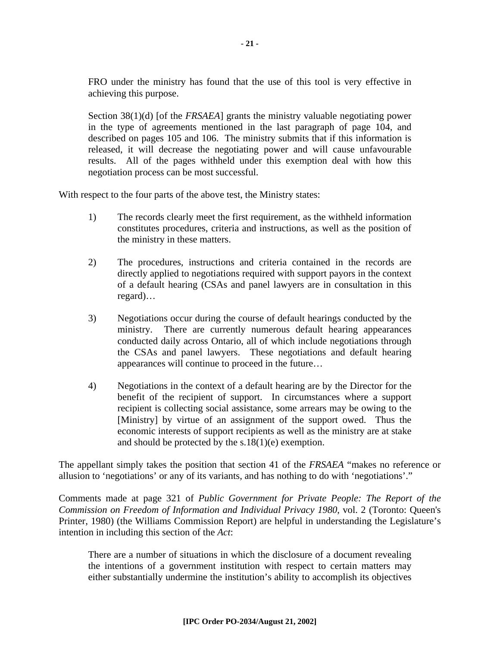FRO under the ministry has found that the use of this tool is very effective in achieving this purpose.

Section 38(1)(d) [of the *FRSAEA*] grants the ministry valuable negotiating power in the type of agreements mentioned in the last paragraph of page 104, and described on pages 105 and 106. The ministry submits that if this information is released, it will decrease the negotiating power and will cause unfavourable results. All of the pages withheld under this exemption deal with how this negotiation process can be most successful.

With respect to the four parts of the above test, the Ministry states:

- 1) The records clearly meet the first requirement, as the withheld information constitutes procedures, criteria and instructions, as well as the position of the ministry in these matters.
- 2) The procedures, instructions and criteria contained in the records are directly applied to negotiations required with support payors in the context of a default hearing (CSAs and panel lawyers are in consultation in this regard)…
- 3) Negotiations occur during the course of default hearings conducted by the ministry. There are currently numerous default hearing appearances conducted daily across Ontario, all of which include negotiations through the CSAs and panel lawyers. These negotiations and default hearing appearances will continue to proceed in the future…
- 4) Negotiations in the context of a default hearing are by the Director for the benefit of the recipient of support. In circumstances where a support recipient is collecting social assistance, some arrears may be owing to the [Ministry] by virtue of an assignment of the support owed. Thus the economic interests of support recipients as well as the ministry are at stake and should be protected by the s.18(1)(e) exemption.

The appellant simply takes the position that section 41 of the *FRSAEA* "makes no reference or allusion to 'negotiations' or any of its variants, and has nothing to do with 'negotiations'."

Comments made at page 321 of *Public Government for Private People: The Report of the Commission on Freedom of Information and Individual Privacy 1980*, vol. 2 (Toronto: Queen's Printer, 1980) (the Williams Commission Report) are helpful in understanding the Legislature's intention in including this section of the *Act*:

There are a number of situations in which the disclosure of a document revealing the intentions of a government institution with respect to certain matters may either substantially undermine the institution's ability to accomplish its objectives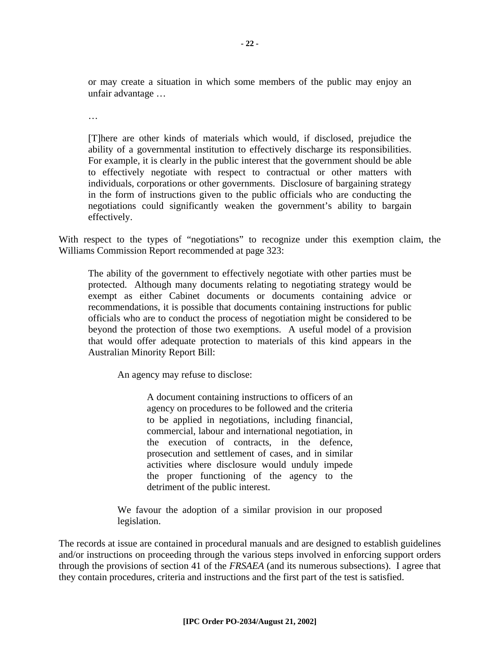or may create a situation in which some members of the public may enjoy an unfair advantage …

…

[T]here are other kinds of materials which would, if disclosed, prejudice the ability of a governmental institution to effectively discharge its responsibilities. For example, it is clearly in the public interest that the government should be able to effectively negotiate with respect to contractual or other matters with individuals, corporations or other governments. Disclosure of bargaining strategy in the form of instructions given to the public officials who are conducting the negotiations could significantly weaken the government's ability to bargain effectively.

With respect to the types of "negotiations" to recognize under this exemption claim, the Williams Commission Report recommended at page 323:

The ability of the government to effectively negotiate with other parties must be protected. Although many documents relating to negotiating strategy would be exempt as either Cabinet documents or documents containing advice or recommendations, it is possible that documents containing instructions for public officials who are to conduct the process of negotiation might be considered to be beyond the protection of those two exemptions. A useful model of a provision that would offer adequate protection to materials of this kind appears in the Australian Minority Report Bill:

An agency may refuse to disclose:

A document containing instructions to officers of an agency on procedures to be followed and the criteria to be applied in negotiations, including financial, commercial, labour and international negotiation, in the execution of contracts, in the defence, prosecution and settlement of cases, and in similar activities where disclosure would unduly impede the proper functioning of the agency to the detriment of the public interest.

We favour the adoption of a similar provision in our proposed legislation.

The records at issue are contained in procedural manuals and are designed to establish guidelines and/or instructions on proceeding through the various steps involved in enforcing support orders through the provisions of section 41 of the *FRSAEA* (and its numerous subsections). I agree that they contain procedures, criteria and instructions and the first part of the test is satisfied.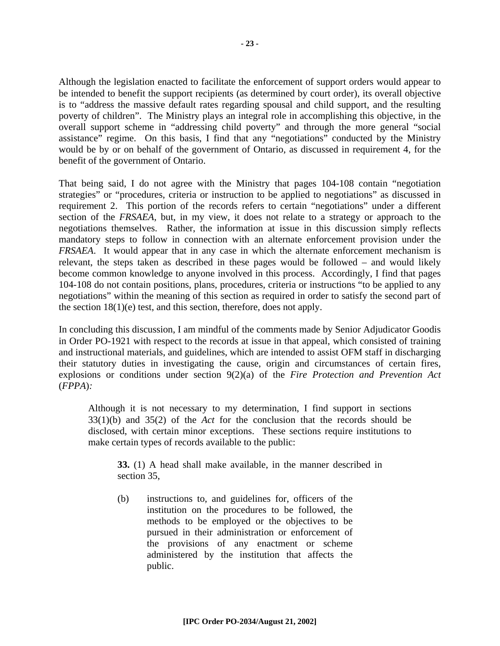Although the legislation enacted to facilitate the enforcement of support orders would appear to be intended to benefit the support recipients (as determined by court order), its overall objective is to "address the massive default rates regarding spousal and child support, and the resulting poverty of children". The Ministry plays an integral role in accomplishing this objective, in the overall support scheme in "addressing child poverty" and through the more general "social assistance" regime. On this basis, I find that any "negotiations" conducted by the Ministry would be by or on behalf of the government of Ontario, as discussed in requirement 4, for the benefit of the government of Ontario.

That being said, I do not agree with the Ministry that pages 104-108 contain "negotiation strategies" or "procedures, criteria or instruction to be applied to negotiations" as discussed in requirement 2. This portion of the records refers to certain "negotiations" under a different section of the *FRSAEA*, but, in my view, it does not relate to a strategy or approach to the negotiations themselves. Rather, the information at issue in this discussion simply reflects mandatory steps to follow in connection with an alternate enforcement provision under the *FRSAEA*. It would appear that in any case in which the alternate enforcement mechanism is relevant, the steps taken as described in these pages would be followed – and would likely become common knowledge to anyone involved in this process. Accordingly, I find that pages 104-108 do not contain positions, plans, procedures, criteria or instructions "to be applied to any negotiations" within the meaning of this section as required in order to satisfy the second part of the section 18(1)(e) test, and this section, therefore, does not apply.

In concluding this discussion, I am mindful of the comments made by Senior Adjudicator Goodis in Order PO-1921 with respect to the records at issue in that appeal, which consisted of training and instructional materials, and guidelines, which are intended to assist OFM staff in discharging their statutory duties in investigating the cause, origin and circumstances of certain fires, explosions or conditions under section 9(2)(a) of the *Fire Protection and Prevention Act*  (*FPPA*)*:*

Although it is not necessary to my determination, I find support in sections 33(1)(b) and 35(2) of the *Act* for the conclusion that the records should be disclosed, with certain minor exceptions. These sections require institutions to make certain types of records available to the public:

**33.** (1) A head shall make available, in the manner described in section 35,

(b) instructions to, and guidelines for, officers of the institution on the procedures to be followed, the methods to be employed or the objectives to be pursued in their administration or enforcement of the provisions of any enactment or scheme administered by the institution that affects the public.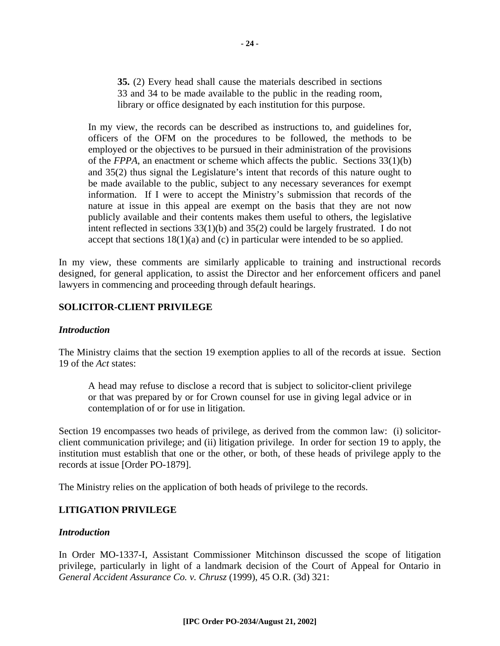**35.** (2) Every head shall cause the materials described in sections 33 and 34 to be made available to the public in the reading room, library or office designated by each institution for this purpose.

In my view, the records can be described as instructions to, and guidelines for, officers of the OFM on the procedures to be followed, the methods to be employed or the objectives to be pursued in their administration of the provisions of the *FPPA*, an enactment or scheme which affects the public. Sections 33(1)(b) and 35(2) thus signal the Legislature's intent that records of this nature ought to be made available to the public, subject to any necessary severances for exempt information. If I were to accept the Ministry's submission that records of the nature at issue in this appeal are exempt on the basis that they are not now publicly available and their contents makes them useful to others, the legislative intent reflected in sections 33(1)(b) and 35(2) could be largely frustrated. I do not accept that sections  $18(1)(a)$  and (c) in particular were intended to be so applied.

In my view, these comments are similarly applicable to training and instructional records designed, for general application, to assist the Director and her enforcement officers and panel lawyers in commencing and proceeding through default hearings.

#### **SOLICITOR-CLIENT PRIVILEGE**

#### *Introduction*

The Ministry claims that the section 19 exemption applies to all of the records at issue. Section 19 of the *Act* states:

A head may refuse to disclose a record that is subject to solicitor-client privilege or that was prepared by or for Crown counsel for use in giving legal advice or in contemplation of or for use in litigation.

Section 19 encompasses two heads of privilege, as derived from the common law: (i) solicitorclient communication privilege; and (ii) litigation privilege. In order for section 19 to apply, the institution must establish that one or the other, or both, of these heads of privilege apply to the records at issue [Order PO-1879].

The Ministry relies on the application of both heads of privilege to the records.

#### **LITIGATION PRIVILEGE**

#### *Introduction*

In Order MO-1337-I, Assistant Commissioner Mitchinson discussed the scope of litigation privilege, particularly in light of a landmark decision of the Court of Appeal for Ontario in *General Accident Assurance Co. v. Chrusz* (1999), 45 O.R. (3d) 321: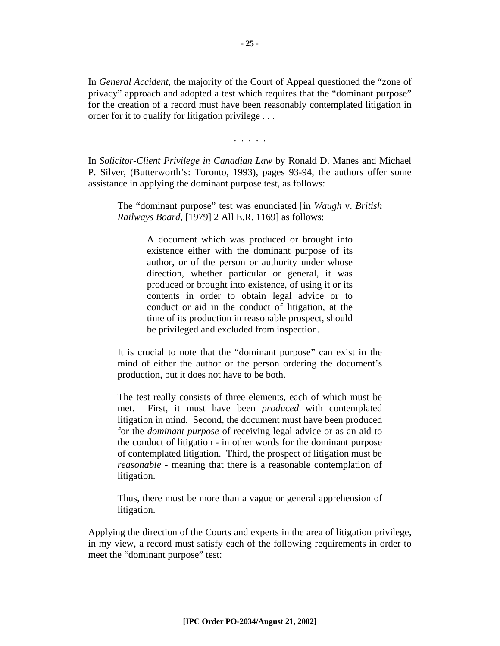In *General Accident*, the majority of the Court of Appeal questioned the "zone of privacy" approach and adopted a test which requires that the "dominant purpose" for the creation of a record must have been reasonably contemplated litigation in order for it to qualify for litigation privilege . . .

. . . . .

In *Solicitor-Client Privilege in Canadian Law* by Ronald D. Manes and Michael P. Silver, (Butterworth's: Toronto, 1993), pages 93-94, the authors offer some assistance in applying the dominant purpose test, as follows:

The "dominant purpose" test was enunciated [in *Waugh* v. *British Railways Board*, [1979] 2 All E.R. 1169] as follows:

> A document which was produced or brought into existence either with the dominant purpose of its author, or of the person or authority under whose direction, whether particular or general, it was produced or brought into existence, of using it or its contents in order to obtain legal advice or to conduct or aid in the conduct of litigation, at the time of its production in reasonable prospect, should be privileged and excluded from inspection.

It is crucial to note that the "dominant purpose" can exist in the mind of either the author or the person ordering the document's production, but it does not have to be both.

The test really consists of three elements, each of which must be met. First, it must have been *produced* with contemplated litigation in mind. Second, the document must have been produced for the *dominant purpose* of receiving legal advice or as an aid to the conduct of litigation - in other words for the dominant purpose of contemplated litigation. Third, the prospect of litigation must be *reasonable* - meaning that there is a reasonable contemplation of litigation.

Thus, there must be more than a vague or general apprehension of litigation.

Applying the direction of the Courts and experts in the area of litigation privilege, in my view, a record must satisfy each of the following requirements in order to meet the "dominant purpose" test: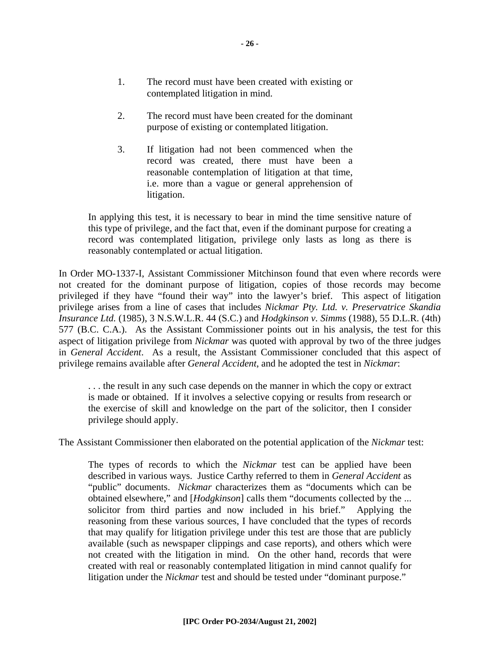- 2. The record must have been created for the dominant purpose of existing or contemplated litigation.
- 3. If litigation had not been commenced when the record was created, there must have been a reasonable contemplation of litigation at that time, i.e. more than a vague or general apprehension of litigation.

In applying this test, it is necessary to bear in mind the time sensitive nature of this type of privilege, and the fact that, even if the dominant purpose for creating a record was contemplated litigation, privilege only lasts as long as there is reasonably contemplated or actual litigation.

In Order MO-1337-I, Assistant Commissioner Mitchinson found that even where records were not created for the dominant purpose of litigation, copies of those records may become privileged if they have "found their way" into the lawyer's brief. This aspect of litigation privilege arises from a line of cases that includes *Nickmar Pty. Ltd. v. Preservatrice Skandia Insurance Ltd.* (1985), 3 N.S.W.L.R. 44 (S.C.) and *Hodgkinson v. Simms* (1988), 55 D.L.R. (4th) 577 (B.C. C.A.). As the Assistant Commissioner points out in his analysis, the test for this aspect of litigation privilege from *Nickmar* was quoted with approval by two of the three judges in *General Accident*. As a result, the Assistant Commissioner concluded that this aspect of privilege remains available after *General Accident*, and he adopted the test in *Nickmar*:

. . . the result in any such case depends on the manner in which the copy or extract is made or obtained. If it involves a selective copying or results from research or the exercise of skill and knowledge on the part of the solicitor, then I consider privilege should apply.

The Assistant Commissioner then elaborated on the potential application of the *Nickmar* test:

The types of records to which the *Nickmar* test can be applied have been described in various ways. Justice Carthy referred to them in *General Accident* as "public" documents. *Nickmar* characterizes them as "documents which can be obtained elsewhere," and [*Hodgkinson*] calls them "documents collected by the ... solicitor from third parties and now included in his brief." Applying the reasoning from these various sources, I have concluded that the types of records that may qualify for litigation privilege under this test are those that are publicly available (such as newspaper clippings and case reports), and others which were not created with the litigation in mind. On the other hand, records that were created with real or reasonably contemplated litigation in mind cannot qualify for litigation under the *Nickmar* test and should be tested under "dominant purpose."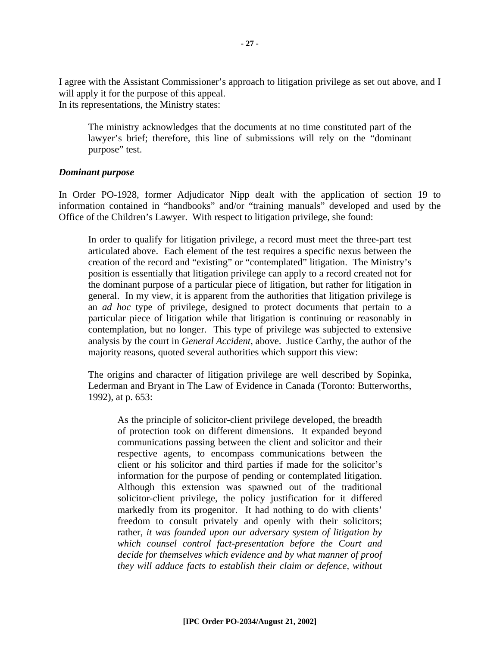I agree with the Assistant Commissioner's approach to litigation privilege as set out above, and I will apply it for the purpose of this appeal. In its representations, the Ministry states:

The ministry acknowledges that the documents at no time constituted part of the lawyer's brief; therefore, this line of submissions will rely on the "dominant purpose" test.

#### *Dominant purpose*

In Order PO-1928, former Adjudicator Nipp dealt with the application of section 19 to information contained in "handbooks" and/or "training manuals" developed and used by the Office of the Children's Lawyer. With respect to litigation privilege, she found:

In order to qualify for litigation privilege, a record must meet the three-part test articulated above. Each element of the test requires a specific nexus between the creation of the record and "existing" or "contemplated" litigation. The Ministry's position is essentially that litigation privilege can apply to a record created not for the dominant purpose of a particular piece of litigation, but rather for litigation in general. In my view, it is apparent from the authorities that litigation privilege is an *ad hoc* type of privilege, designed to protect documents that pertain to a particular piece of litigation while that litigation is continuing or reasonably in contemplation, but no longer. This type of privilege was subjected to extensive analysis by the court in *General Accident*, above. Justice Carthy, the author of the majority reasons, quoted several authorities which support this view:

The origins and character of litigation privilege are well described by Sopinka, Lederman and Bryant in The Law of Evidence in Canada (Toronto: Butterworths, 1992), at p. 653:

As the principle of solicitor-client privilege developed, the breadth of protection took on different dimensions. It expanded beyond communications passing between the client and solicitor and their respective agents, to encompass communications between the client or his solicitor and third parties if made for the solicitor's information for the purpose of pending or contemplated litigation. Although this extension was spawned out of the traditional solicitor-client privilege, the policy justification for it differed markedly from its progenitor. It had nothing to do with clients' freedom to consult privately and openly with their solicitors; rather, *it was founded upon our adversary system of litigation by which counsel control fact-presentation before the Court and decide for themselves which evidence and by what manner of proof they will adduce facts to establish their claim or defence, without*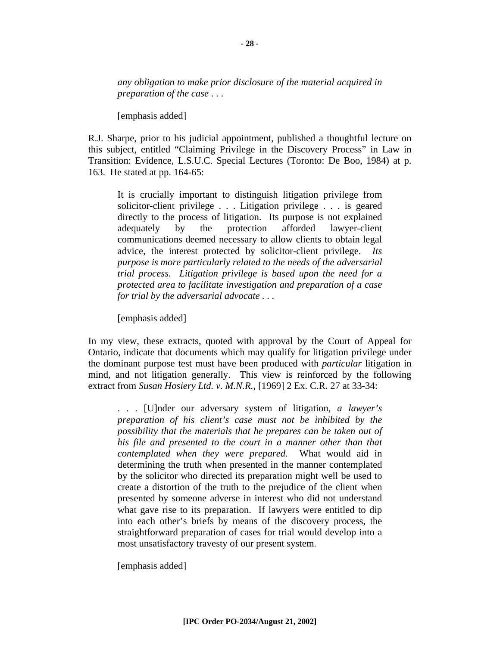*any obligation to make prior disclosure of the material acquired in preparation of the case* . . .

[emphasis added]

R.J. Sharpe, prior to his judicial appointment, published a thoughtful lecture on this subject, entitled "Claiming Privilege in the Discovery Process" in Law in Transition: Evidence, L.S.U.C. Special Lectures (Toronto: De Boo, 1984) at p. 163. He stated at pp. 164-65:

It is crucially important to distinguish litigation privilege from solicitor-client privilege . . . Litigation privilege . . . is geared directly to the process of litigation. Its purpose is not explained adequately by the protection afforded lawyer-client communications deemed necessary to allow clients to obtain legal advice, the interest protected by solicitor-client privilege. *Its purpose is more particularly related to the needs of the adversarial trial process. Litigation privilege is based upon the need for a protected area to facilitate investigation and preparation of a case for trial by the adversarial advocate . . .*

[emphasis added]

In my view, these extracts, quoted with approval by the Court of Appeal for Ontario, indicate that documents which may qualify for litigation privilege under the dominant purpose test must have been produced with *particular* litigation in mind, and not litigation generally. This view is reinforced by the following extract from *Susan Hosiery Ltd. v. M.N.R.*, [1969] 2 Ex. C.R. 27 at 33-34:

. . . [U]nder our adversary system of litigation, *a lawyer's preparation of his client's case must not be inhibited by the possibility that the materials that he prepares can be taken out of his file and presented to the court in a manner other than that contemplated when they were prepared*. What would aid in determining the truth when presented in the manner contemplated by the solicitor who directed its preparation might well be used to create a distortion of the truth to the prejudice of the client when presented by someone adverse in interest who did not understand what gave rise to its preparation. If lawyers were entitled to dip into each other's briefs by means of the discovery process, the straightforward preparation of cases for trial would develop into a most unsatisfactory travesty of our present system.

[emphasis added]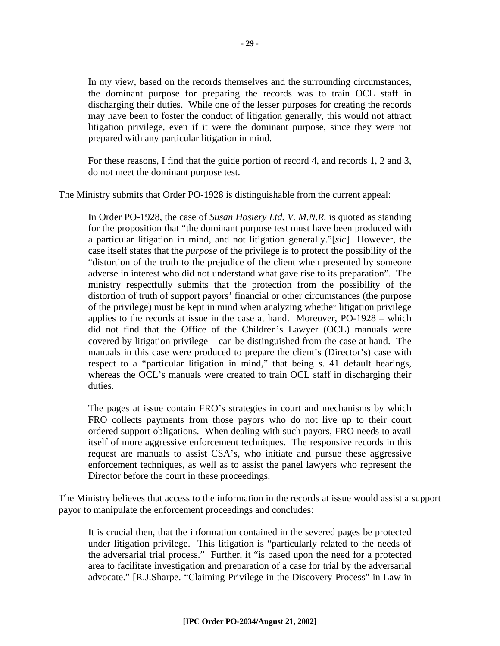In my view, based on the records themselves and the surrounding circumstances, the dominant purpose for preparing the records was to train OCL staff in discharging their duties. While one of the lesser purposes for creating the records may have been to foster the conduct of litigation generally, this would not attract litigation privilege, even if it were the dominant purpose, since they were not prepared with any particular litigation in mind.

For these reasons, I find that the guide portion of record 4, and records 1, 2 and 3, do not meet the dominant purpose test.

The Ministry submits that Order PO-1928 is distinguishable from the current appeal:

In Order PO-1928, the case of *Susan Hosiery Ltd. V. M.N.R.* is quoted as standing for the proposition that "the dominant purpose test must have been produced with a particular litigation in mind, and not litigation generally."[*sic*] However, the case itself states that the *purpose* of the privilege is to protect the possibility of the "distortion of the truth to the prejudice of the client when presented by someone adverse in interest who did not understand what gave rise to its preparation". The ministry respectfully submits that the protection from the possibility of the distortion of truth of support payors' financial or other circumstances (the purpose of the privilege) must be kept in mind when analyzing whether litigation privilege applies to the records at issue in the case at hand. Moreover, PO-1928 – which did not find that the Office of the Children's Lawyer (OCL) manuals were covered by litigation privilege – can be distinguished from the case at hand. The manuals in this case were produced to prepare the client's (Director's) case with respect to a "particular litigation in mind," that being s. 41 default hearings, whereas the OCL's manuals were created to train OCL staff in discharging their duties.

The pages at issue contain FRO's strategies in court and mechanisms by which FRO collects payments from those payors who do not live up to their court ordered support obligations. When dealing with such payors, FRO needs to avail itself of more aggressive enforcement techniques. The responsive records in this request are manuals to assist CSA's, who initiate and pursue these aggressive enforcement techniques, as well as to assist the panel lawyers who represent the Director before the court in these proceedings.

The Ministry believes that access to the information in the records at issue would assist a support payor to manipulate the enforcement proceedings and concludes:

It is crucial then, that the information contained in the severed pages be protected under litigation privilege. This litigation is "particularly related to the needs of the adversarial trial process." Further, it "is based upon the need for a protected area to facilitate investigation and preparation of a case for trial by the adversarial advocate." [R.J.Sharpe. "Claiming Privilege in the Discovery Process" in Law in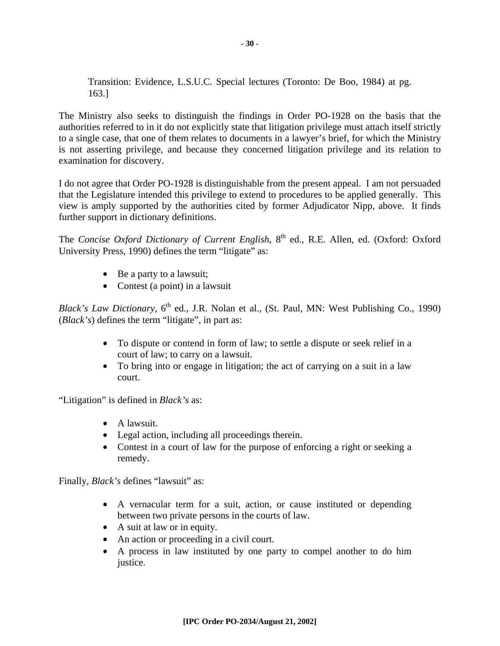Transition: Evidence, L.S.U.C. Special lectures (Toronto: De Boo, 1984) at pg. 163.]

The Ministry also seeks to distinguish the findings in Order PO-1928 on the basis that the authorities referred to in it do not explicitly state that litigation privilege must attach itself strictly to a single case, that one of them relates to documents in a lawyer's brief, for which the Ministry is not asserting privilege, and because they concerned litigation privilege and its relation to examination for discovery.

I do not agree that Order PO-1928 is distinguishable from the present appeal. I am not persuaded that the Legislature intended this privilege to extend to procedures to be applied generally. This view is amply supported by the authorities cited by former Adjudicator Nipp, above. It finds further support in dictionary definitions.

The *Concise Oxford Dictionary of Current English*, 8<sup>th</sup> ed., R.E. Allen, ed. (Oxford: Oxford University Press, 1990) defines the term "litigate" as:

- Be a party to a lawsuit;
- Contest (a point) in a lawsuit

*Black's Law Dictionary*, 6<sup>th</sup> ed., J.R. Nolan et al., (St. Paul, MN: West Publishing Co., 1990) (*Black's*) defines the term "litigate", in part as:

- To dispute or contend in form of law; to settle a dispute or seek relief in a court of law; to carry on a lawsuit.
- To bring into or engage in litigation; the act of carrying on a suit in a law court.

"Litigation" is defined in *Black's* as:

- A lawsuit.
- Legal action, including all proceedings therein.
- Contest in a court of law for the purpose of enforcing a right or seeking a remedy.

Finally, *Black's* defines "lawsuit" as:

- A vernacular term for a suit, action, or cause instituted or depending between two private persons in the courts of law.
- A suit at law or in equity.
- An action or proceeding in a civil court.
- A process in law instituted by one party to compel another to do him justice.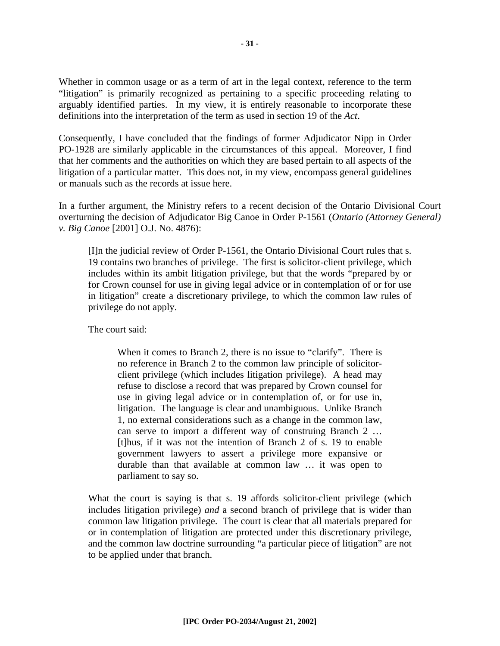Whether in common usage or as a term of art in the legal context, reference to the term "litigation" is primarily recognized as pertaining to a specific proceeding relating to arguably identified parties. In my view, it is entirely reasonable to incorporate these definitions into the interpretation of the term as used in section 19 of the *Act*.

Consequently, I have concluded that the findings of former Adjudicator Nipp in Order PO-1928 are similarly applicable in the circumstances of this appeal. Moreover, I find that her comments and the authorities on which they are based pertain to all aspects of the litigation of a particular matter. This does not, in my view, encompass general guidelines or manuals such as the records at issue here.

In a further argument, the Ministry refers to a recent decision of the Ontario Divisional Court overturning the decision of Adjudicator Big Canoe in Order P-1561 (*Ontario (Attorney General) v. Big Canoe* [2001] O.J. No. 4876):

[I]n the judicial review of Order P-1561, the Ontario Divisional Court rules that s. 19 contains two branches of privilege. The first is solicitor-client privilege, which includes within its ambit litigation privilege, but that the words "prepared by or for Crown counsel for use in giving legal advice or in contemplation of or for use in litigation" create a discretionary privilege, to which the common law rules of privilege do not apply.

The court said:

When it comes to Branch 2, there is no issue to "clarify". There is no reference in Branch 2 to the common law principle of solicitorclient privilege (which includes litigation privilege). A head may refuse to disclose a record that was prepared by Crown counsel for use in giving legal advice or in contemplation of, or for use in, litigation. The language is clear and unambiguous. Unlike Branch 1, no external considerations such as a change in the common law, can serve to import a different way of construing Branch 2 … [t]hus, if it was not the intention of Branch 2 of s. 19 to enable government lawyers to assert a privilege more expansive or durable than that available at common law … it was open to parliament to say so.

What the court is saying is that s. 19 affords solicitor-client privilege (which includes litigation privilege) *and* a second branch of privilege that is wider than common law litigation privilege. The court is clear that all materials prepared for or in contemplation of litigation are protected under this discretionary privilege, and the common law doctrine surrounding "a particular piece of litigation" are not to be applied under that branch.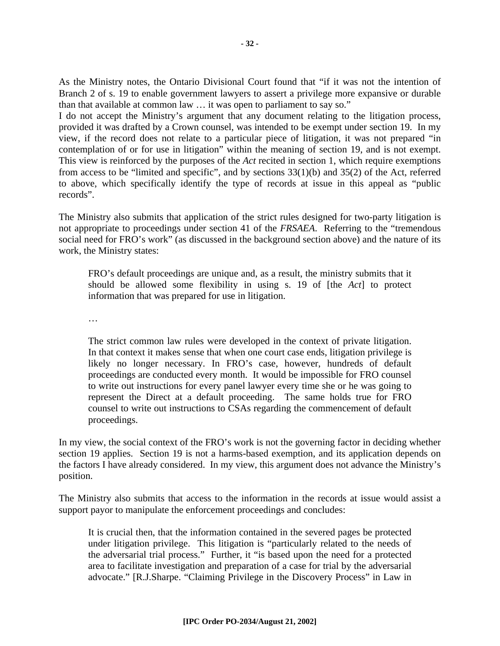As the Ministry notes, the Ontario Divisional Court found that "if it was not the intention of Branch 2 of s. 19 to enable government lawyers to assert a privilege more expansive or durable than that available at common law … it was open to parliament to say so."

I do not accept the Ministry's argument that any document relating to the litigation process, provided it was drafted by a Crown counsel, was intended to be exempt under section 19. In my view, if the record does not relate to a particular piece of litigation, it was not prepared "in contemplation of or for use in litigation" within the meaning of section 19, and is not exempt. This view is reinforced by the purposes of the *Act* recited in section 1, which require exemptions from access to be "limited and specific", and by sections 33(1)(b) and 35(2) of the Act, referred to above, which specifically identify the type of records at issue in this appeal as "public records".

The Ministry also submits that application of the strict rules designed for two-party litigation is not appropriate to proceedings under section 41 of the *FRSAEA*. Referring to the "tremendous social need for FRO's work" (as discussed in the background section above) and the nature of its work, the Ministry states:

FRO's default proceedings are unique and, as a result, the ministry submits that it should be allowed some flexibility in using s. 19 of [the *Act*] to protect information that was prepared for use in litigation.

…

The strict common law rules were developed in the context of private litigation. In that context it makes sense that when one court case ends, litigation privilege is likely no longer necessary. In FRO's case, however, hundreds of default proceedings are conducted every month. It would be impossible for FRO counsel to write out instructions for every panel lawyer every time she or he was going to represent the Direct at a default proceeding. The same holds true for FRO counsel to write out instructions to CSAs regarding the commencement of default proceedings.

In my view, the social context of the FRO's work is not the governing factor in deciding whether section 19 applies. Section 19 is not a harms-based exemption, and its application depends on the factors I have already considered. In my view, this argument does not advance the Ministry's position.

The Ministry also submits that access to the information in the records at issue would assist a support payor to manipulate the enforcement proceedings and concludes:

It is crucial then, that the information contained in the severed pages be protected under litigation privilege. This litigation is "particularly related to the needs of the adversarial trial process." Further, it "is based upon the need for a protected area to facilitate investigation and preparation of a case for trial by the adversarial advocate." [R.J.Sharpe. "Claiming Privilege in the Discovery Process" in Law in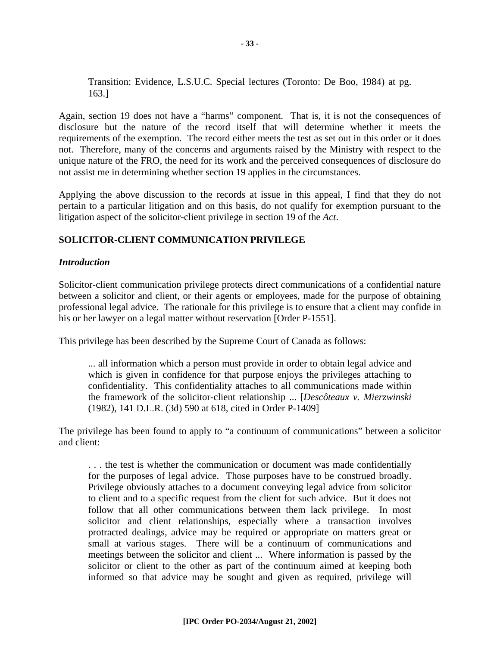Transition: Evidence, L.S.U.C. Special lectures (Toronto: De Boo, 1984) at pg. 163.]

Again, section 19 does not have a "harms" component. That is, it is not the consequences of disclosure but the nature of the record itself that will determine whether it meets the requirements of the exemption. The record either meets the test as set out in this order or it does not. Therefore, many of the concerns and arguments raised by the Ministry with respect to the unique nature of the FRO, the need for its work and the perceived consequences of disclosure do not assist me in determining whether section 19 applies in the circumstances.

Applying the above discussion to the records at issue in this appeal, I find that they do not pertain to a particular litigation and on this basis, do not qualify for exemption pursuant to the litigation aspect of the solicitor-client privilege in section 19 of the *Act*.

#### **SOLICITOR-CLIENT COMMUNICATION PRIVILEGE**

#### *Introduction*

Solicitor-client communication privilege protects direct communications of a confidential nature between a solicitor and client, or their agents or employees, made for the purpose of obtaining professional legal advice. The rationale for this privilege is to ensure that a client may confide in his or her lawyer on a legal matter without reservation [Order P-1551].

This privilege has been described by the Supreme Court of Canada as follows:

... all information which a person must provide in order to obtain legal advice and which is given in confidence for that purpose enjoys the privileges attaching to confidentiality. This confidentiality attaches to all communications made within the framework of the solicitor-client relationship ... [*Descôteaux v. Mierzwinski* (1982), 141 D.L.R. (3d) 590 at 618, cited in Order P-1409]

The privilege has been found to apply to "a continuum of communications" between a solicitor and client:

. . . the test is whether the communication or document was made confidentially for the purposes of legal advice. Those purposes have to be construed broadly. Privilege obviously attaches to a document conveying legal advice from solicitor to client and to a specific request from the client for such advice. But it does not follow that all other communications between them lack privilege. In most solicitor and client relationships, especially where a transaction involves protracted dealings, advice may be required or appropriate on matters great or small at various stages. There will be a continuum of communications and meetings between the solicitor and client ... Where information is passed by the solicitor or client to the other as part of the continuum aimed at keeping both informed so that advice may be sought and given as required, privilege will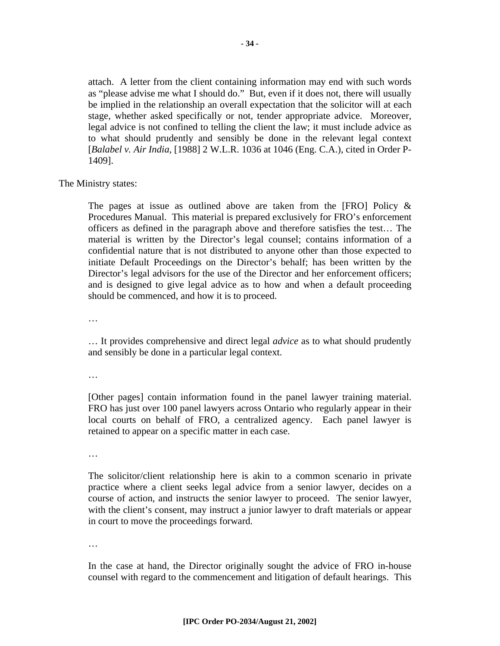attach. A letter from the client containing information may end with such words as "please advise me what I should do." But, even if it does not, there will usually be implied in the relationship an overall expectation that the solicitor will at each stage, whether asked specifically or not, tender appropriate advice. Moreover, legal advice is not confined to telling the client the law; it must include advice as to what should prudently and sensibly be done in the relevant legal context [*Balabel v. Air India*, [1988] 2 W.L.R. 1036 at 1046 (Eng. C.A.), cited in Order P-1409].

The Ministry states:

The pages at issue as outlined above are taken from the [FRO] Policy  $\&$ Procedures Manual. This material is prepared exclusively for FRO's enforcement officers as defined in the paragraph above and therefore satisfies the test… The material is written by the Director's legal counsel; contains information of a confidential nature that is not distributed to anyone other than those expected to initiate Default Proceedings on the Director's behalf; has been written by the Director's legal advisors for the use of the Director and her enforcement officers; and is designed to give legal advice as to how and when a default proceeding should be commenced, and how it is to proceed.

…

… It provides comprehensive and direct legal *advice* as to what should prudently and sensibly be done in a particular legal context.

…

[Other pages] contain information found in the panel lawyer training material. FRO has just over 100 panel lawyers across Ontario who regularly appear in their local courts on behalf of FRO, a centralized agency. Each panel lawyer is retained to appear on a specific matter in each case.

…

The solicitor/client relationship here is akin to a common scenario in private practice where a client seeks legal advice from a senior lawyer, decides on a course of action, and instructs the senior lawyer to proceed. The senior lawyer, with the client's consent, may instruct a junior lawyer to draft materials or appear in court to move the proceedings forward.

…

In the case at hand, the Director originally sought the advice of FRO in-house counsel with regard to the commencement and litigation of default hearings. This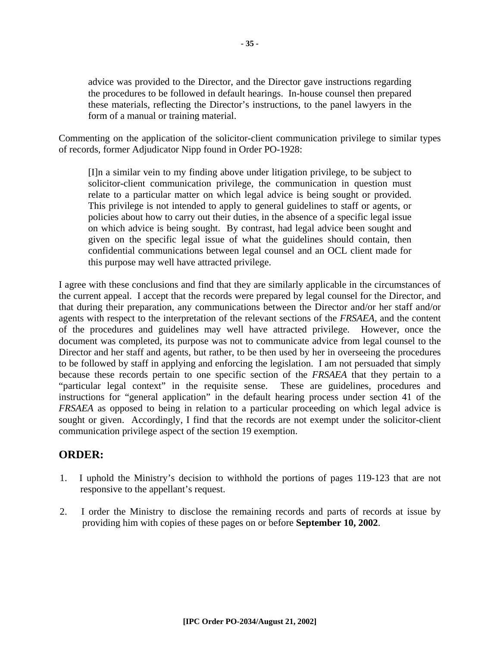advice was provided to the Director, and the Director gave instructions regarding the procedures to be followed in default hearings. In-house counsel then prepared these materials, reflecting the Director's instructions, to the panel lawyers in the form of a manual or training material.

Commenting on the application of the solicitor-client communication privilege to similar types of records, former Adjudicator Nipp found in Order PO-1928:

[I]n a similar vein to my finding above under litigation privilege, to be subject to solicitor-client communication privilege, the communication in question must relate to a particular matter on which legal advice is being sought or provided. This privilege is not intended to apply to general guidelines to staff or agents, or policies about how to carry out their duties, in the absence of a specific legal issue on which advice is being sought. By contrast, had legal advice been sought and given on the specific legal issue of what the guidelines should contain, then confidential communications between legal counsel and an OCL client made for this purpose may well have attracted privilege.

I agree with these conclusions and find that they are similarly applicable in the circumstances of the current appeal. I accept that the records were prepared by legal counsel for the Director, and that during their preparation, any communications between the Director and/or her staff and/or agents with respect to the interpretation of the relevant sections of the *FRSAEA,* and the content of the procedures and guidelines may well have attracted privilege. However, once the document was completed, its purpose was not to communicate advice from legal counsel to the Director and her staff and agents, but rather, to be then used by her in overseeing the procedures to be followed by staff in applying and enforcing the legislation. I am not persuaded that simply because these records pertain to one specific section of the *FRSAEA* that they pertain to a "particular legal context" in the requisite sense. These are guidelines, procedures and instructions for "general application" in the default hearing process under section 41 of the *FRSAEA* as opposed to being in relation to a particular proceeding on which legal advice is sought or given. Accordingly, I find that the records are not exempt under the solicitor-client communication privilege aspect of the section 19 exemption.

### **ORDER:**

- 1. I uphold the Ministry's decision to withhold the portions of pages 119-123 that are not responsive to the appellant's request.
- 2. I order the Ministry to disclose the remaining records and parts of records at issue by providing him with copies of these pages on or before **September 10, 2002**.